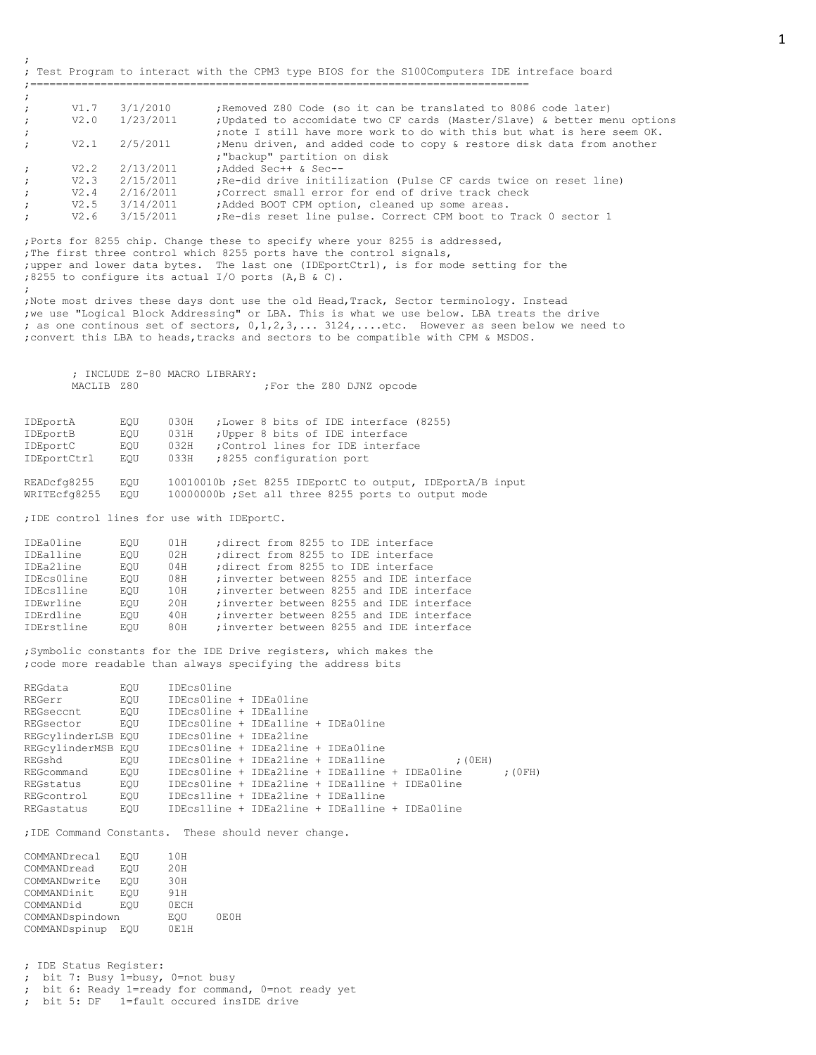;============================================================================== ; ; V1.7 3/1/2010 ;Removed Z80 Code (so it can be translated to 8086 code later) ; V2.0 1/23/2011 ;Updated to accomidate two CF cards (Master/Slave) & better menu options ; inote I still have more work to do with this but what is here seem OK. ; V2.1 2/5/2011 ; Menu driven, and added code to copy & restore disk data from another ;"backup" partition on disk ; V2.2 2/13/2011 ;Added Sec++ & Sec-- ; V2.3 2/15/2011 ;Re-did drive initilization (Pulse CF cards twice on reset line) ;  $V2.4$  2/16/2011 ; Correct small error for end of drive track check<br>;  $V2.5$  3/14/2011 ; Added BOOT CPM option, cleaned up some areas. ; V2.5 3/14/2011 ;Added BOOT CPM option, cleaned up some areas. ; V2.6 3/15/2011 ;Re-dis reset line pulse. Correct CPM boot to Track 0 sector 1

; Test Program to interact with the CPM3 type BIOS for the S100Computers IDE intreface board

;Ports for 8255 chip. Change these to specify where your 8255 is addressed, ;The first three control which 8255 ports have the control signals, ;upper and lower data bytes. The last one (IDEportCtrl), is for mode setting for the ;8255 to configure its actual I/O ports (A,B & C). ;

;Note most drives these days dont use the old Head,Track, Sector terminology. Instead ;we use "Logical Block Addressing" or LBA. This is what we use below. LBA treats the drive ; as one continous set of sectors, 0,1,2,3,... 3124,....etc. However as seen below we need to ;convert this LBA to heads,tracks and sectors to be compatible with CPM & MSDOS.

; INCLUDE Z-80 MACRO LIBRARY: MACLIB Z80  $;$  For the Z80 DJNZ opcode

| IDEportA                    | EOU        | ;Lower 8 bits of IDE interface (8255)<br>030H                                                                  |
|-----------------------------|------------|----------------------------------------------------------------------------------------------------------------|
| IDEportB                    | EOU        | ; Upper 8 bits of IDE interface<br>031H                                                                        |
| IDEportC                    | EOU        | ;Control lines for IDE interface<br>032H                                                                       |
| IDEportCtrl                 | EOU        | :8255 configuration port<br>033H                                                                               |
| READcfg8255<br>WRITEcfq8255 | EOU<br>EOU | 10010010b; Set 8255 IDEportC to output, IDEportA/B input<br>10000000b; Set all three 8255 ports to output mode |

;IDE control lines for use with IDEportC.

;

| IDEa0line  | EOU | 01H | direct from 8255 to IDE interface         |
|------------|-----|-----|-------------------------------------------|
| IDEalline  | EOU | 02H | direct from 8255 to IDE interface         |
| IDEa2line  | EOU | 04H | direct from 8255 to IDE interface         |
| IDEcs0line | EOU | 08H | ; inverter between 8255 and IDE interface |
| IDEcs1line | EOU | 10H | ; inverter between 8255 and IDE interface |
| IDEwrline  | EOU | 20H | ; inverter between 8255 and IDE interface |
| IDErdline  | EOU | 40H | ; inverter between 8255 and IDE interface |
| IDErstline | EOU | 80H | ; inverter between 8255 and IDE interface |

;Symbolic constants for the IDE Drive registers, which makes the ;code more readable than always specifying the address bits

| REGdata            | EOU | IDEcs0line                                     |  |  |                                                |           |
|--------------------|-----|------------------------------------------------|--|--|------------------------------------------------|-----------|
| REGerr             | EOU | IDEcsOline + IDEaOline                         |  |  |                                                |           |
| REGseccnt          | EOU | IDEcsOline + IDEalline                         |  |  |                                                |           |
| REGsector          | EOU | IDEcsOline + IDEalline + IDEaOline             |  |  |                                                |           |
| REGCVlinderLSB EOU |     | IDEcsOline + IDEa2line                         |  |  |                                                |           |
| REGcylinderMSB EOU |     | IDEcs0line + IDEa2line + IDEa0line             |  |  |                                                |           |
| REGshd             | EOU | IDEcsOline + IDEa2line + IDEa1line             |  |  | : (0EH)                                        |           |
| REGcommand         | EOU |                                                |  |  | IDEcsOline + IDEa2line + IDEa1line + IDEa0line | $;$ (OFH) |
| REGstatus          | EOU | IDEcsOline + IDEa2line + IDEa1line + IDEa0line |  |  |                                                |           |
| REGcontrol         | EOU | IDEcslline + IDEa2line + IDEalline             |  |  |                                                |           |
| REGastatus         | EOU | IDEcslline + IDEa2line + IDEa1line + IDEa0line |  |  |                                                |           |

;IDE Command Constants. These should never change.

| COMMANDrecal    | EOU | 10H  |      |
|-----------------|-----|------|------|
| COMMANDread     | EOU | 20H  |      |
| COMMANDwrite    | EOU | 30H  |      |
| COMMANDinit     | EOU | 91 H |      |
| COMMANDid       | EOU | 0ECH |      |
| COMMANDspindown |     | EOU  | 0E0H |
| COMMANDspinup   | EOU | 0F1H |      |

; IDE Status Register: ; bit 7: Busy 1=busy, 0=not busy

- ; bit 6: Ready 1=ready for command, 0=not ready yet
- ; bit 5: DF 1=fault occured insIDE drive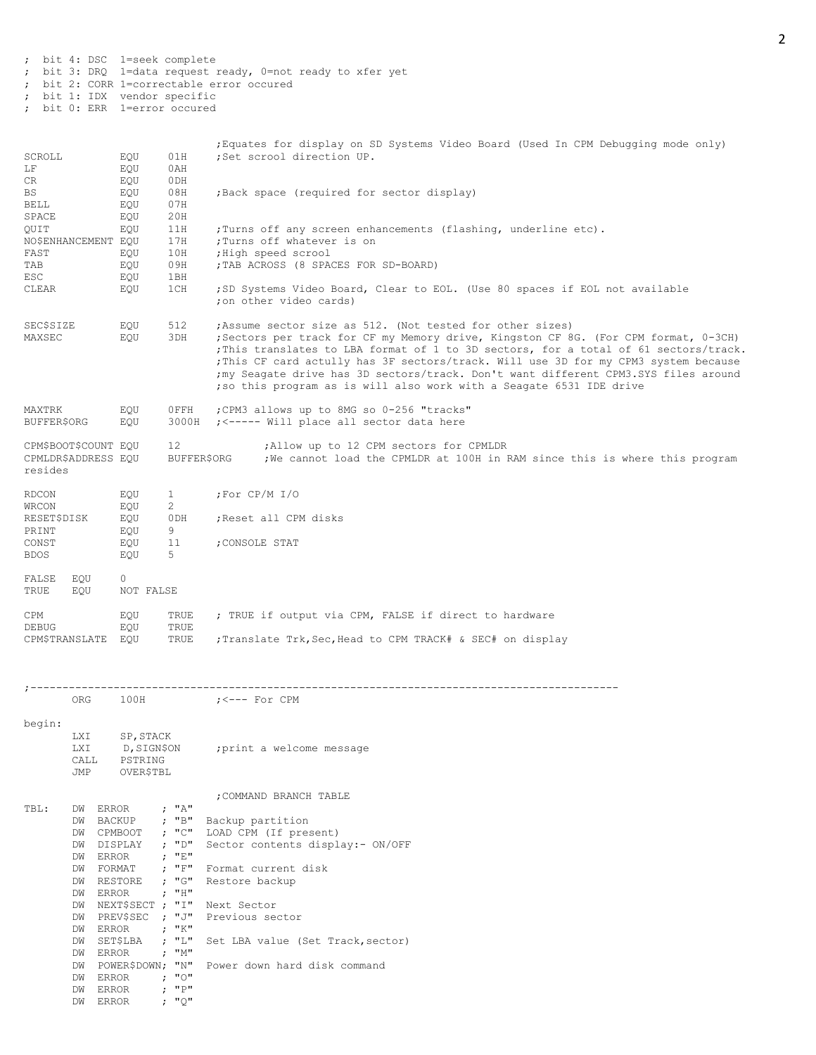; bit 4: DSC 1=seek complete ; bit 3: DRQ 1=data request ready, 0=not ready to xfer yet ; bit 2: CORR 1=correctable error occured ; bit 1: IDX vendor specific

; bit 0: ERR 1=error occured

|                                                        |            |                      |                   |                    | Equates for display on SD Systems Video Board (Used In CPM Debugging mode only)                                                                                                                                                                                                                                                                                                                                        |
|--------------------------------------------------------|------------|----------------------|-------------------|--------------------|------------------------------------------------------------------------------------------------------------------------------------------------------------------------------------------------------------------------------------------------------------------------------------------------------------------------------------------------------------------------------------------------------------------------|
| SCROLL                                                 |            | EQU                  | 01H               |                    | ;Set scrool direction UP.                                                                                                                                                                                                                                                                                                                                                                                              |
| LΕ                                                     |            | EQU                  | 0AH               |                    |                                                                                                                                                                                                                                                                                                                                                                                                                        |
| CR                                                     |            | EQU                  | 0DH               |                    |                                                                                                                                                                                                                                                                                                                                                                                                                        |
| BS                                                     |            | EQU                  | 08H               |                    | ; Back space (required for sector display)                                                                                                                                                                                                                                                                                                                                                                             |
| BELL                                                   |            | EQU                  | 07H               |                    |                                                                                                                                                                                                                                                                                                                                                                                                                        |
| SPACE                                                  |            | EQU                  | 20H               |                    |                                                                                                                                                                                                                                                                                                                                                                                                                        |
| QUIT                                                   |            | EQU                  | 11H               |                    | ; Turns off any screen enhancements (flashing, underline etc).                                                                                                                                                                                                                                                                                                                                                         |
|                                                        |            |                      | 17H               |                    | ;Turns off whatever is on                                                                                                                                                                                                                                                                                                                                                                                              |
| NO\$ENHANCEMENT EQU                                    |            |                      |                   |                    |                                                                                                                                                                                                                                                                                                                                                                                                                        |
| FAST                                                   |            | EQU                  | 10H               |                    | ; High speed scrool                                                                                                                                                                                                                                                                                                                                                                                                    |
| TAB                                                    |            | EQU                  | 09H               |                    | ; TAB ACROSS (8 SPACES FOR SD-BOARD)                                                                                                                                                                                                                                                                                                                                                                                   |
| ESC                                                    |            | EQU                  | 1BH               |                    |                                                                                                                                                                                                                                                                                                                                                                                                                        |
| CLEAR                                                  |            | EQU                  | 1CH               |                    | ; SD Systems Video Board, Clear to EOL. (Use 80 spaces if EOL not available<br>:on other video cards)                                                                                                                                                                                                                                                                                                                  |
| <b>SEC\$SIZE</b><br>MAXSEC                             |            | EQU<br>EQU           | 512<br>3DH        |                    | ; Assume sector size as 512. (Not tested for other sizes)<br>; Sectors per track for CF my Memory drive, Kingston CF 8G. (For CPM format, 0-3CH)<br>; This translates to LBA format of 1 to 3D sectors, for a total of 61 sectors/track.<br>; This CF card actully has 3F sectors/track. Will use 3D for my CPM3 system because<br>; my Seagate drive has 3D sectors/track. Don't want different CPM3.SYS files around |
| MAXTRK                                                 |            | EQU                  | OFFH              |                    | ; so this program as is will also work with a Seagate 6531 IDE drive<br>; CPM3 allows up to 8MG so 0-256 "tracks"                                                                                                                                                                                                                                                                                                      |
| <b>BUFFER\$ORG</b>                                     |            | EQU                  | 3000H             |                    | ; <----- Will place all sector data here                                                                                                                                                                                                                                                                                                                                                                               |
| CPM\$BOOT\$COUNT EQU<br>CPMLDR\$ADDRESS EQU<br>resides |            |                      | 12<br>BUFFER\$ORG |                    | ; Allow up to 12 CPM sectors for CPMLDR<br>; We cannot load the CPMLDR at 100H in RAM since this is where this program                                                                                                                                                                                                                                                                                                 |
| RDCON                                                  |            | EQU                  | $\mathbf{1}$      | ;For CP/M I/O      |                                                                                                                                                                                                                                                                                                                                                                                                                        |
| WRCON                                                  |            | EQU                  | 2                 |                    |                                                                                                                                                                                                                                                                                                                                                                                                                        |
| RESET\$DISK                                            |            | EQU                  | 0DH               |                    | ; Reset all CPM disks                                                                                                                                                                                                                                                                                                                                                                                                  |
|                                                        |            |                      |                   |                    |                                                                                                                                                                                                                                                                                                                                                                                                                        |
| PRINT                                                  |            | EQU                  | 9                 |                    |                                                                                                                                                                                                                                                                                                                                                                                                                        |
| CONST                                                  |            | EQU                  | 11                | ; CONSOLE STAT     |                                                                                                                                                                                                                                                                                                                                                                                                                        |
| <b>BDOS</b>                                            |            | EQU                  | 5                 |                    |                                                                                                                                                                                                                                                                                                                                                                                                                        |
| FALSE<br>TRUE                                          | EQU<br>EOU | $\circ$<br>NOT FALSE |                   |                    |                                                                                                                                                                                                                                                                                                                                                                                                                        |
| CPM<br>DEBUG                                           |            | EQU<br>EQU           | TRUE<br>TRUE      |                    | ; TRUE if output via CPM, FALSE if direct to hardware                                                                                                                                                                                                                                                                                                                                                                  |
| CPM\$TRANSLATE                                         |            | EOU                  | TRUE              |                    | ; Translate Trk, Sec, Head to CPM TRACK# & SEC# on display                                                                                                                                                                                                                                                                                                                                                             |
|                                                        |            |                      |                   |                    |                                                                                                                                                                                                                                                                                                                                                                                                                        |
|                                                        | ORG        | 100H                 |                   | $; < -- -$ For CPM |                                                                                                                                                                                                                                                                                                                                                                                                                        |
|                                                        |            |                      |                   |                    |                                                                                                                                                                                                                                                                                                                                                                                                                        |
| begin:                                                 |            |                      |                   |                    |                                                                                                                                                                                                                                                                                                                                                                                                                        |
|                                                        | LXI        | SP, STACK            |                   |                    |                                                                                                                                                                                                                                                                                                                                                                                                                        |
|                                                        | LXI        | D, SIGN\$ON          |                   |                    | ; print a welcome message                                                                                                                                                                                                                                                                                                                                                                                              |
|                                                        | CALL       | PSTRING              |                   |                    |                                                                                                                                                                                                                                                                                                                                                                                                                        |
|                                                        | JMP        | <b>OVER\$TBL</b>     |                   |                    |                                                                                                                                                                                                                                                                                                                                                                                                                        |
|                                                        |            |                      |                   |                    |                                                                                                                                                                                                                                                                                                                                                                                                                        |
|                                                        |            |                      |                   |                    | ; COMMAND BRANCH TABLE                                                                                                                                                                                                                                                                                                                                                                                                 |
| TBL:                                                   | DW ERROR   |                      | : "A"             |                    |                                                                                                                                                                                                                                                                                                                                                                                                                        |
|                                                        | DW BACKUP  |                      | ; "B"             | Backup partition   |                                                                                                                                                                                                                                                                                                                                                                                                                        |
|                                                        | DW CPMBOOT |                      | ; "C"             |                    | LOAD CPM (If present)                                                                                                                                                                                                                                                                                                                                                                                                  |
|                                                        | DW DISPLAY |                      | ; "D"             |                    | Sector contents display: - ON/OFF                                                                                                                                                                                                                                                                                                                                                                                      |
|                                                        | DW ERROR   |                      | ; "E"             |                    |                                                                                                                                                                                                                                                                                                                                                                                                                        |
|                                                        | DW FORMAT  |                      | ; $"F"$           |                    | Format current disk                                                                                                                                                                                                                                                                                                                                                                                                    |
|                                                        | DW RESTORE |                      | ; "G"             | Restore backup     |                                                                                                                                                                                                                                                                                                                                                                                                                        |
|                                                        | DW ERROR   |                      | ; "H"             |                    |                                                                                                                                                                                                                                                                                                                                                                                                                        |
|                                                        |            | DW NEXT\$SECT ; "I"  |                   | Next Sector        |                                                                                                                                                                                                                                                                                                                                                                                                                        |
|                                                        |            | DW PREV\$SEC ; "J"   |                   | Previous sector    |                                                                                                                                                                                                                                                                                                                                                                                                                        |
|                                                        | DW ERROR   |                      | ; "K"             |                    |                                                                                                                                                                                                                                                                                                                                                                                                                        |
|                                                        | DW         | SET\$LBA             | ; "L"             |                    | Set LBA value (Set Track, sector)                                                                                                                                                                                                                                                                                                                                                                                      |
|                                                        | DW ERROR   |                      | ; "M"             |                    |                                                                                                                                                                                                                                                                                                                                                                                                                        |
|                                                        |            | DW POWER\$DOWN; "N"  |                   |                    | Power down hard disk command                                                                                                                                                                                                                                                                                                                                                                                           |
|                                                        | DW ERROR   |                      | : "0"             |                    |                                                                                                                                                                                                                                                                                                                                                                                                                        |
|                                                        | DW ERROR   |                      | ; "P"             |                    |                                                                                                                                                                                                                                                                                                                                                                                                                        |
|                                                        | DW ERROR   |                      | ; "Q"             |                    |                                                                                                                                                                                                                                                                                                                                                                                                                        |
|                                                        |            |                      |                   |                    |                                                                                                                                                                                                                                                                                                                                                                                                                        |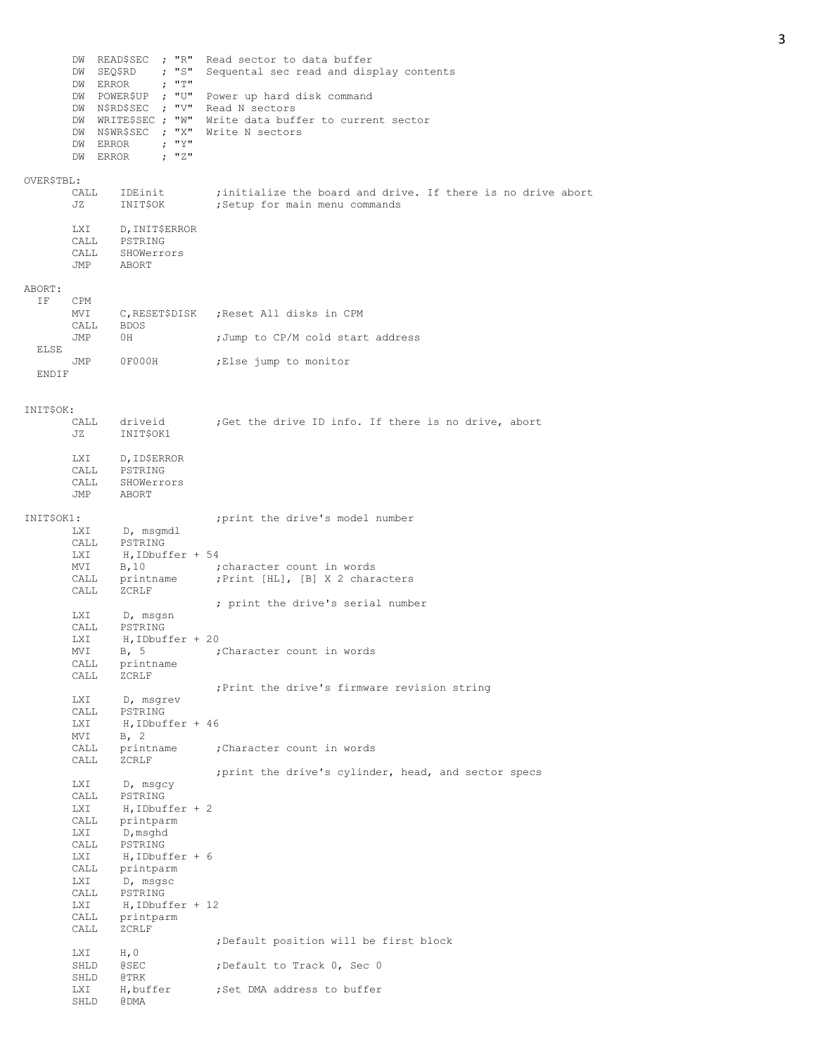|            | DW SEQ\$RD<br>DW ERROR<br>DW ERROR<br>DW ERROR | DW READ\$SEC ; "R"<br>; "S"<br>$\mathcal{F}$ $\mathbb{T}$ $\mathbb{T}$ $\mathbb{T}$<br>DW POWER\$UP ; "U"<br>DW N\$RD\$SEC ; "V"<br>DW WRITE\$SEC ; "W"<br>DW N\$WR\$SEC ; "X"<br>; "Y"<br>: "Z" | Read sector to data buffer<br>Sequental sec read and display contents<br>Power up hard disk command<br>Read N sectors<br>Write data buffer to current sector<br>Write N sectors |
|------------|------------------------------------------------|--------------------------------------------------------------------------------------------------------------------------------------------------------------------------------------------------|---------------------------------------------------------------------------------------------------------------------------------------------------------------------------------|
| OVER\$TBL: | CALL<br>JZ                                     | IDEinit<br>INITȘOK                                                                                                                                                                               | ; initialize the board and drive. If there is no drive abort<br>;Setup for main menu commands                                                                                   |
|            | LXI<br>CALL                                    | D, INIT\$ERROR<br>CALL PSTRING<br>SHOWerrors<br>JMP ABORT                                                                                                                                        |                                                                                                                                                                                 |
| ABORT:     |                                                |                                                                                                                                                                                                  |                                                                                                                                                                                 |
| ΙF         | CPM<br>MVI                                     |                                                                                                                                                                                                  | C,RESETȘDISK ;Reset All disks in CPM                                                                                                                                            |
| ELSE       | CALL<br>JMP                                    | BDOS<br>0H                                                                                                                                                                                       | ; Jump to CP/M cold start address                                                                                                                                               |
| ENDIF      | JMP                                            | OF000H                                                                                                                                                                                           | Else jump to monitor,                                                                                                                                                           |
|            |                                                |                                                                                                                                                                                                  |                                                                                                                                                                                 |
| INITȘOK:   | CALL<br>JZ                                     | driveid<br>INIT\$OK1                                                                                                                                                                             | ;Get the drive ID info. If there is no drive, abort                                                                                                                             |
|            | CALL<br>CALL<br>JMP                            | LXI D, ID\$ERROR<br>PSTRING<br>SHOWerrors<br>ABORT                                                                                                                                               |                                                                                                                                                                                 |
| INITȘOK1:  |                                                |                                                                                                                                                                                                  | ; print the drive's model number                                                                                                                                                |
|            | LXI<br>CALL<br>LXI                             | D, msgmdl<br>PSTRING<br>$H$ , IDbuffer + 54                                                                                                                                                      |                                                                                                                                                                                 |
|            | MVI<br>CALL                                    | B, 10<br>printname                                                                                                                                                                               | character count in words;<br>; Print [HL], [B] X 2 characters                                                                                                                   |
|            | CALL                                           | ZCRLF                                                                                                                                                                                            | ; print the drive's serial number                                                                                                                                               |
|            | LXI<br>CALL                                    | D, msgsn<br>PSTRING                                                                                                                                                                              |                                                                                                                                                                                 |
|            | <b>LXI</b><br>MVI<br>CALL<br>CALL              | $H$ , IDbuffer + 20<br>printname<br>ZCRLF                                                                                                                                                        | B, 5 ;Character count in words                                                                                                                                                  |
|            | LXI                                            | D, msgrev                                                                                                                                                                                        | ; Print the drive's firmware revision string                                                                                                                                    |
|            | CALL<br>LXI                                    | PSTRING<br>$H$ , IDbuffer + 46                                                                                                                                                                   |                                                                                                                                                                                 |
|            | MVI<br>CALL                                    | B, 2<br>printname                                                                                                                                                                                | ; Character count in words                                                                                                                                                      |
|            | CALL                                           | ZCRLF                                                                                                                                                                                            | ; print the drive's cylinder, head, and sector specs                                                                                                                            |
|            | LXI<br>CALL<br>LXI                             | D, msqcy<br>PSTRING<br>$H, IDbuffer + 2$                                                                                                                                                         |                                                                                                                                                                                 |
|            | CALL<br>LXI                                    | printparm<br>D,msghd                                                                                                                                                                             |                                                                                                                                                                                 |
|            | CALL<br>LXI                                    | PSTRING<br>$H$ , IDbuffer + 6                                                                                                                                                                    |                                                                                                                                                                                 |
|            | CALL<br>LXI                                    | printparm<br>D, msgsc                                                                                                                                                                            |                                                                                                                                                                                 |
|            | CALL<br>LXI                                    | PSTRING<br>$H, IDbuffer + 12$                                                                                                                                                                    |                                                                                                                                                                                 |
|            | CALL<br>CALL                                   | printparm<br>ZCRLF                                                                                                                                                                               |                                                                                                                                                                                 |
|            |                                                |                                                                                                                                                                                                  | ; Default position will be first block                                                                                                                                          |
|            | LXI<br>SHLD<br>SHLD                            | H, 0<br><b>@SEC</b><br>@TRK                                                                                                                                                                      | ; Default to Track 0, Sec 0                                                                                                                                                     |
|            | LXI<br>SHLD                                    | H, buffer<br>@DMA                                                                                                                                                                                | ; Set DMA address to buffer                                                                                                                                                     |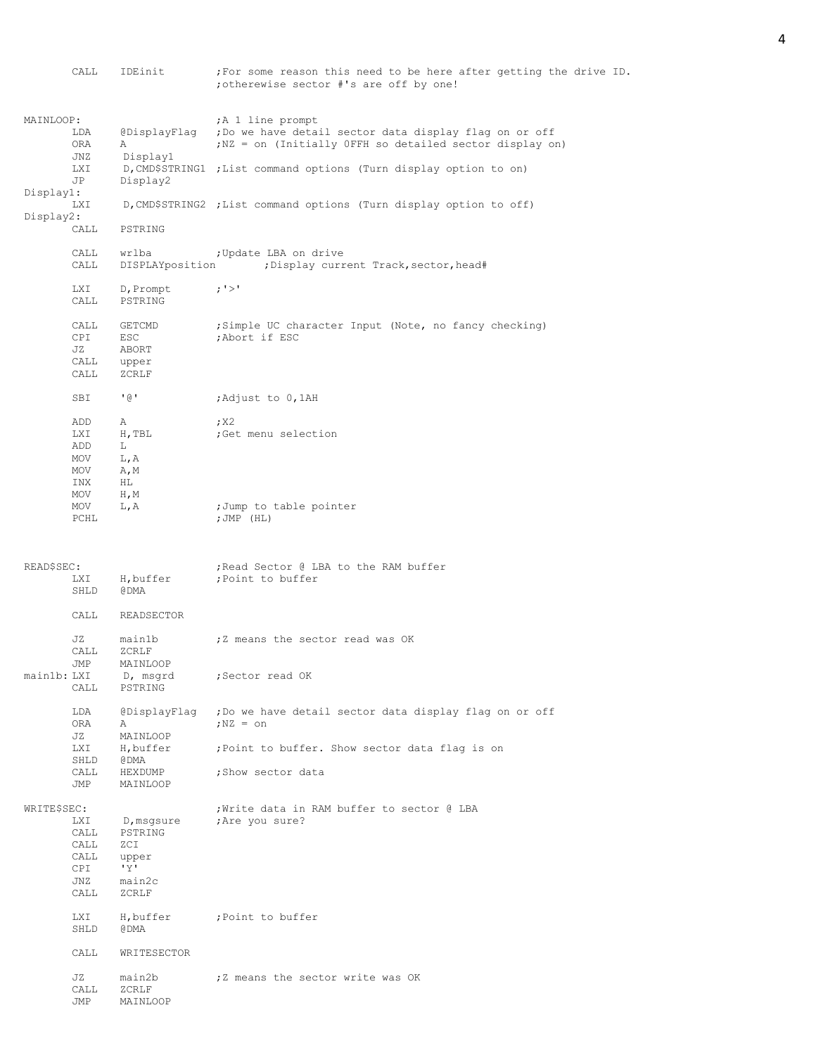|                        | CALL                                              | IDEinit                                                         | ; For some reason this need to be here after getting the drive ID.<br>; otherewise sector #'s are off by one!                                                                                               |
|------------------------|---------------------------------------------------|-----------------------------------------------------------------|-------------------------------------------------------------------------------------------------------------------------------------------------------------------------------------------------------------|
| MAINLOOP:              | LDA<br><b>ORA</b><br>JNZ<br><b>LXI</b><br>JP      | @DisplayFlaq<br>Α<br>Display1<br>Display2                       | A 1 line prompt<br>; Do we have detail sector data display flag on or off<br>; NZ = on (Initially OFFH so detailed sector display on)<br>D, CMD\$STRING1 ; List command options (Turn display option to on) |
| Display1:<br>Display2: | LXI                                               |                                                                 | D, CMD\$STRING2 ; List command options (Turn display option to off)                                                                                                                                         |
|                        | CALL                                              | PSTRING                                                         |                                                                                                                                                                                                             |
|                        | CALL<br>CALL                                      | wrlba                                                           | ; Update LBA on drive<br>DISPLAYposition (Display current Track, sector, head#                                                                                                                              |
|                        | LXI<br>CALL                                       | D, Prompt<br>PSTRING                                            | ; '>'                                                                                                                                                                                                       |
|                        | CALL<br>CPI<br>JZ<br>CALL<br>CALL                 | GETCMD<br><b>ESC</b><br>ABORT<br>upper<br>ZCRLF                 | ;Simple UC character Input (Note, no fancy checking)<br>; Abort if ESC                                                                                                                                      |
|                        | SBI                                               | ' (a '                                                          | Adjust to 0,1AH                                                                                                                                                                                             |
|                        | ADD<br><b>LXI</b><br>ADD<br>MOV<br>MOV<br>INX     | Α<br>H, TBL<br>L<br>L, A<br>A, M<br>HL                          | ; X2<br>; Get menu selection                                                                                                                                                                                |
|                        | MOV<br>MOV<br>PCHL                                | $H$ , M<br>L, A                                                 | ;Jump to table pointer<br>; $JMP$ (HL)                                                                                                                                                                      |
|                        |                                                   |                                                                 |                                                                                                                                                                                                             |
| READ\$SEC:             | LXI<br>SHLD                                       | H, buffer<br>@DMA                                               | ; Read Sector @ LBA to the RAM buffer<br>; Point to buffer                                                                                                                                                  |
|                        | CALL                                              | READSECTOR                                                      |                                                                                                                                                                                                             |
|                        | JZ<br>CALL                                        | main1b<br>ZCRLF                                                 | ;Z means the sector read was OK                                                                                                                                                                             |
| main1b: LXI            | JMP<br>CALL                                       | MAINLOOP<br>D, msgrd<br>PSTRING                                 | ;Sector read OK                                                                                                                                                                                             |
|                        | LDA<br>ORA<br>JZ                                  | @DisplayFlag<br>Α<br>MAINLOOP                                   | ; Do we have detail sector data display flag on or off<br>$: NZ = on$                                                                                                                                       |
|                        | <b>LXI</b><br>SHLD                                | H, buffer<br>@DMA                                               | ; Point to buffer. Show sector data flag is on                                                                                                                                                              |
|                        | CALL<br>JMP                                       | HEXDUMP<br>MAINLOOP                                             | ; Show sector data                                                                                                                                                                                          |
| WRITE\$SEC:            | LXI<br>CALL<br>CALL<br>CALL<br>CPI<br>JNZ<br>CALL | D, msgsure<br>PSTRING<br>ZCI<br>upper<br>'Y'<br>main2c<br>ZCRLF | ; Write data in RAM buffer to sector @ LBA<br>; Are you sure?                                                                                                                                               |
|                        | LXI<br>SHLD                                       | H, buffer<br>@DMA                                               | ; Point to buffer                                                                                                                                                                                           |
|                        | CALL<br>JZ                                        | WRITESECTOR<br>main2b                                           | ;Z means the sector write was OK                                                                                                                                                                            |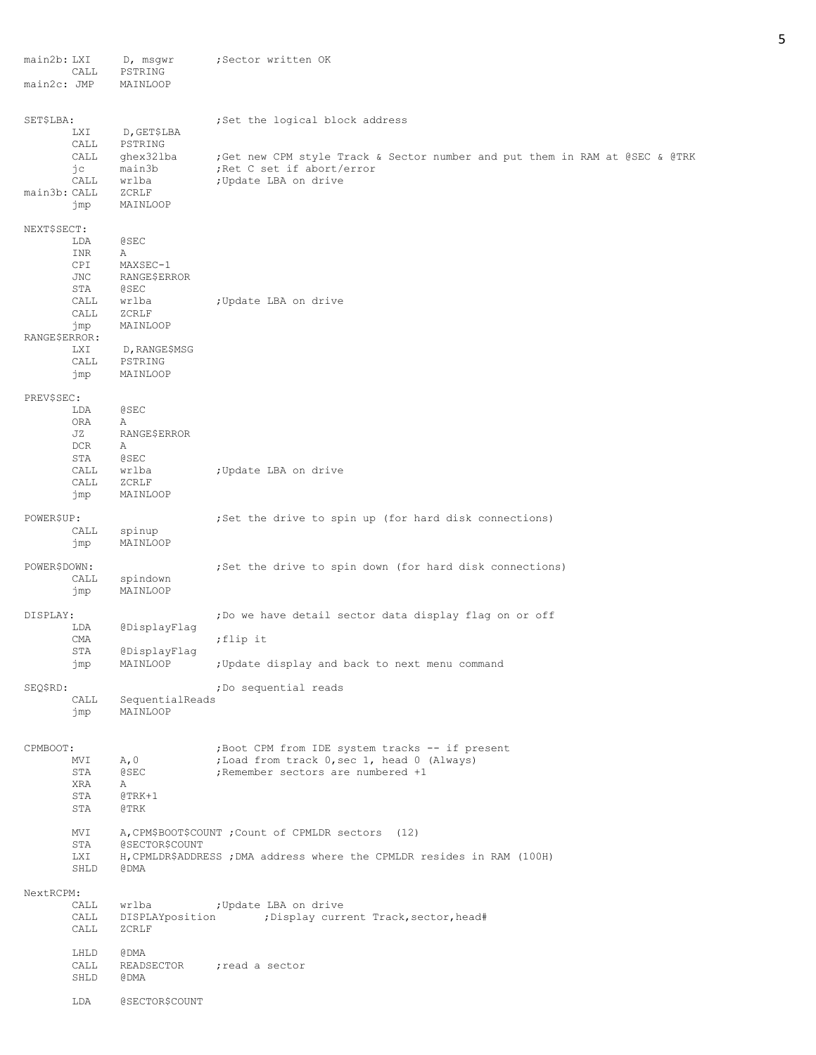| main2b: LXI<br>main2c: JMP | CALL                                                                                | D, msgwr<br>PSTRING<br>MAINLOOP                                                                                                   | ;Sector written OK                                                                                                                                                                                                                                                  |
|----------------------------|-------------------------------------------------------------------------------------|-----------------------------------------------------------------------------------------------------------------------------------|---------------------------------------------------------------------------------------------------------------------------------------------------------------------------------------------------------------------------------------------------------------------|
|                            |                                                                                     |                                                                                                                                   |                                                                                                                                                                                                                                                                     |
| SET\$LBA:<br>main3b: CALL  | <b>LXI</b><br>CALL<br>CALL<br>jс<br>CALL<br>jmp                                     | D, GET\$LBA<br>PSTRING<br>ghex321ba<br>main3b<br>wrlba<br>ZCRLF<br>MAINLOOP                                                       | ; Set the logical block address<br>;Get new CPM style Track & Sector number and put them in RAM at @SEC & @TRK<br>; Ret C set if abort/error<br>; Update LBA on drive                                                                                               |
| NEXT\$SECT:                |                                                                                     |                                                                                                                                   |                                                                                                                                                                                                                                                                     |
| RANGE\$ERROR:              | LDA<br>INR<br>CPI<br>JNC<br>STA<br>CALL<br>CALL<br>jmp<br><b>LXI</b><br>CALL<br>jmp | <b>@SEC</b><br>Α<br>MAXSEC-1<br>RANGE\$ERROR<br><b>@SEC</b><br>wrlba<br>ZCRLF<br>MAINLOOP<br>D, RANGE\$MSG<br>PSTRING<br>MAINLOOP | ; Update LBA on drive                                                                                                                                                                                                                                               |
| PREV\$SEC:                 | LDA<br>ORA<br>JZ<br><b>DCR</b><br>STA<br>CALL                                       | @SEC<br>Α<br>RANGE\$ERROR<br>Α<br><b>@SEC</b><br>wrlba                                                                            | ;Update LBA on drive                                                                                                                                                                                                                                                |
|                            | CALL<br>jmp                                                                         | ZCRLF<br>MAINLOOP                                                                                                                 |                                                                                                                                                                                                                                                                     |
| POWER\$UP:                 | CALL<br>jmp                                                                         | spinup<br>MAINLOOP                                                                                                                | ; Set the drive to spin up (for hard disk connections)                                                                                                                                                                                                              |
| POWER\$DOWN:               | CALL<br>jmp                                                                         | spindown<br>MAINLOOP                                                                                                              | ; Set the drive to spin down (for hard disk connections)                                                                                                                                                                                                            |
| DISPLAY:                   | LDA<br>CMA<br>STA<br>jmp                                                            | @DisplayFlaq<br>@DisplayFlag<br>MAINLOOP                                                                                          | ;Do we have detail sector data display flag on or off<br>;flip it<br>; Update display and back to next menu command                                                                                                                                                 |
| SEQ\$RD:                   | CALL<br>jmp                                                                         | SequentialReads<br>MAINLOOP                                                                                                       | ;Do sequential reads                                                                                                                                                                                                                                                |
| CPMBOOT:                   | MVI<br>STA<br>XRA<br>STA<br>STA<br>MVI<br>STA<br>LXI                                | A, 0<br>@SEC<br>Α<br>$@$ TRK+1<br>@TRK<br>@SECTOR\$COUNT                                                                          | ; Boot CPM from IDE system tracks -- if present<br>;Load from track 0, sec 1, head 0 (Always)<br>; Remember sectors are numbered +1<br>A, CPM\$BOOT\$COUNT; Count of CPMLDR sectors (12)<br>H, CPMLDR\$ADDRESS ; DMA address where the CPMLDR resides in RAM (100H) |
|                            | SHLD                                                                                | @DMA                                                                                                                              |                                                                                                                                                                                                                                                                     |
| NextRCPM:                  | CALL<br>CALL<br>CALL                                                                | wrlba<br>DISPLAYposition<br>ZCRLF                                                                                                 | ; Update LBA on drive<br>;Display current Track, sector, head#                                                                                                                                                                                                      |
|                            | LHLD<br>CALL<br>SHLD                                                                | @DMA<br>READSECTOR<br>@DMA                                                                                                        | ; read a sector                                                                                                                                                                                                                                                     |
|                            | LDA                                                                                 | @SECTOR\$COUNT                                                                                                                    |                                                                                                                                                                                                                                                                     |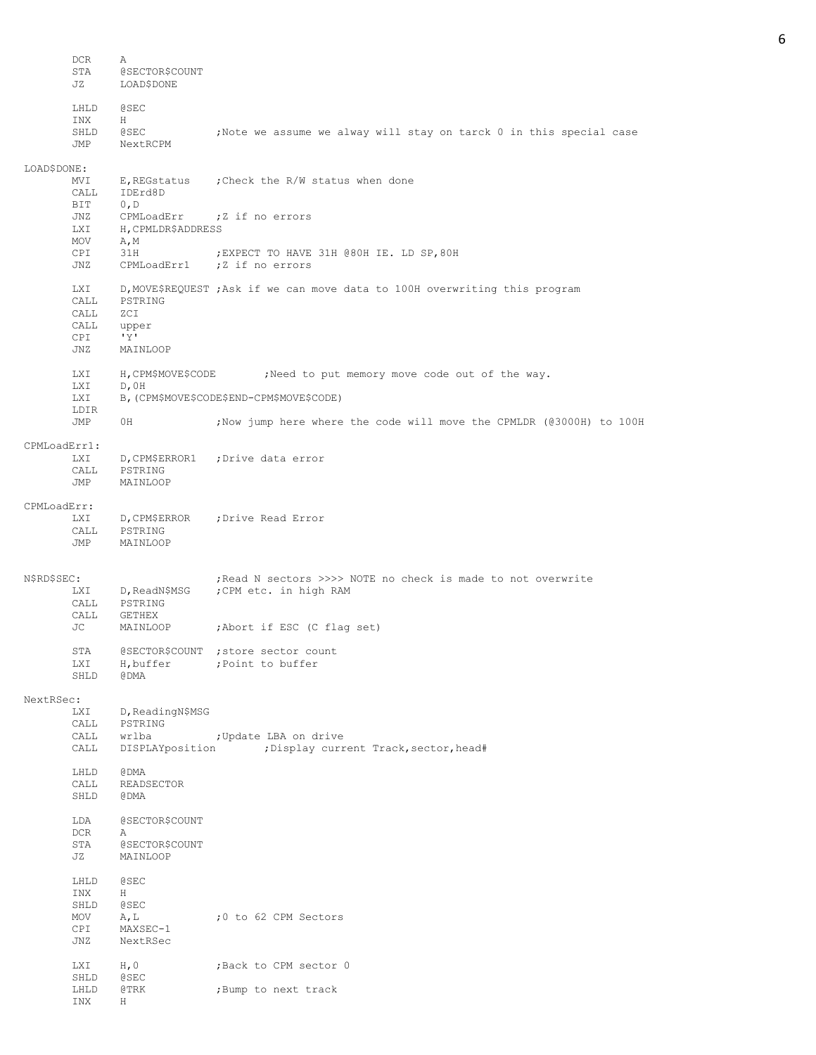DCR A<br>STA @ @SECTOR\$COUNT JZ LOAD\$DONE LHLD @SEC INX H SHLD @SEC ;Note we assume we alway will stay on tarck 0 in this special case JMP NextRCPM LOAD\$DONE: MVI E, REGstatus ; Check the R/W status when done CALL IDErd8D<br>BIT 0,D  $0, D$ JNZ CPMLoadErr ; Z if no errors<br>LXI H, CPMLDR\$ADDRESS LXI H, CPMLDR\$ADDRESS<br>MOV A.M A, M CPI 31H ; EXPECT TO HAVE 31H @80H IE. LD SP, 80H JNZ CPMLoadErr1 ; Z if no errors LXI D,MOVE\$REQUEST ;Ask if we can move data to 100H overwriting this program CALL PSTRING CALL ZCI CALL upper CPI 'Y' JNZ MAINLOOP LXI H, CPM\$MOVE\$CODE ;Need to put memory move code out of the way. LXI D,0H LXI B,(CPM\$MOVE\$CODE\$END-CPM\$MOVE\$CODE) LDIR JMP 0H ;Now jump here where the code will move the CPMLDR (@3000H) to 100H CPMLoadErr1: LXI D,CPM\$ERROR1 ;Drive data error CALL PSTRING JMP MAINLOOP CPMLoadErr: LXI D,CPM\$ERROR ;Drive Read Error CALL PSTRING<br>JMP MAINLOOP MAINLOOP N\$RD\$SEC: ; ;Read N sectors >>>> NOTE no check is made to not overwrite LXI D, ReadN\$MSG ; CPM etc. in high RAM CALL PSTRING CALL GETHEX JC MAINLOOP ; Abort if ESC (C flag set) STA @SECTOR\$COUNT ; store sector count LXI H, buffer ; Point to buffer<br>SHLD @DMA  $SHLD$ NextRSec: LXI D, ReadingN\$MSG CALL PSTRING CALL wrlba  $\qquad \qquad ;$  Update LBA on drive CALL DISPLAYposition ;Display current Track, sector, head# LHLD @DMA<br>CALL READS CALL READSECTOR<br>SHLD @DMA **GDMA** LDA @SECTOR\$COUNT DCR A STA @SECTOR\$COUNT JZ MAINLOOP LHLD @SEC INX H SHLD @SEC MOV A, L  $\bigcirc$  70 to 62 CPM Sectors<br>
CPI MAXSEC-1 MAXSEC-1 JNZ NextRSec LXI H, 0 ; Back to CPM sector 0 SHLD @SEC LHLD @TRK ;Bump to next track INX H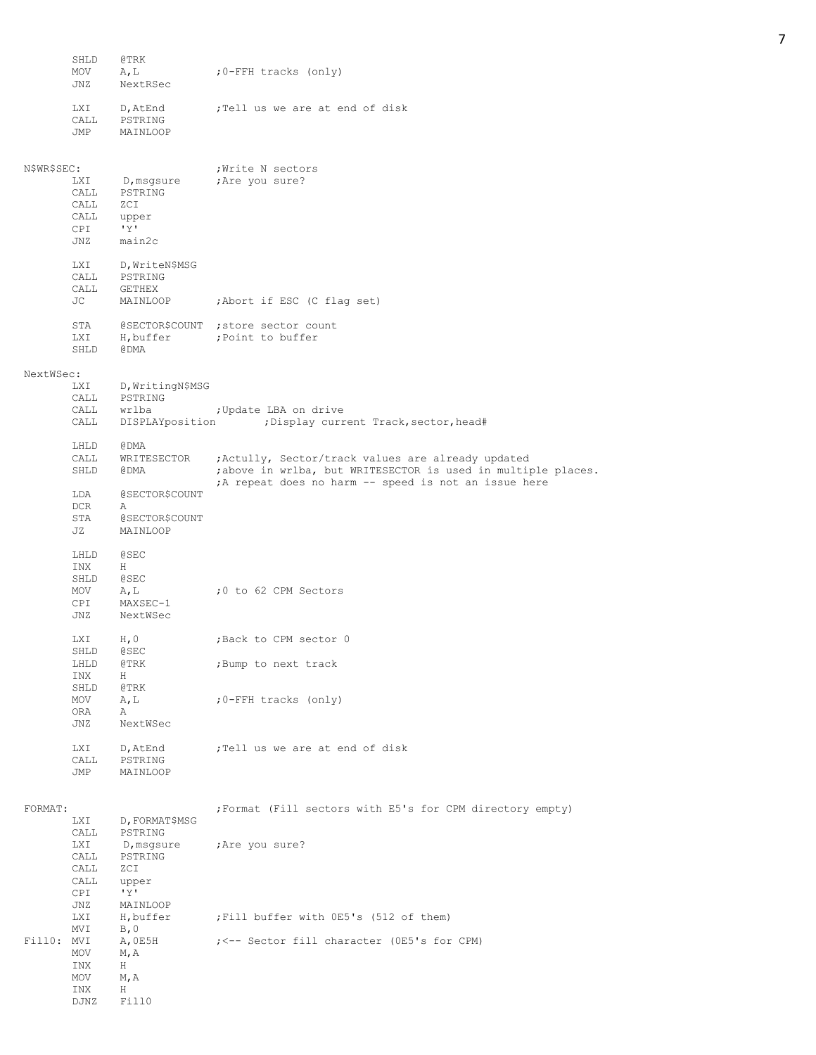|             | SHLD<br>MOV<br>JNZ                 | @TRK<br>A, L<br>NextRSec                                | :0-FFH tracks (only)                                                                                                                                                       |
|-------------|------------------------------------|---------------------------------------------------------|----------------------------------------------------------------------------------------------------------------------------------------------------------------------------|
|             | <b>LXI</b><br>CALL<br>JMP          | D, AtEnd<br>PSTRING<br>MAINLOOP                         | ;Tell us we are at end of disk                                                                                                                                             |
| N\$WR\$SEC: |                                    |                                                         | ; Write N sectors                                                                                                                                                          |
|             | <b>LXI</b><br>CALL<br>CALL         | D,msgsure<br>PSTRING<br>ZCI                             | ; Are you sure?                                                                                                                                                            |
|             | CALL upper<br>CPI<br>JNZ           | $\mathbf{y}$<br>main2c                                  |                                                                                                                                                                            |
|             | LXI<br>CALL<br>CALL                | D, WriteN\$MSG<br>PSTRING<br>GETHEX                     |                                                                                                                                                                            |
|             | JС                                 | MAINLOOP                                                | ;Abort if ESC (C flag set)                                                                                                                                                 |
|             | STA<br>LXI<br>SHLD                 | H, buffer<br>@DMA                                       | @SECTOR\$COUNT ; store sector count<br>; Point to buffer                                                                                                                   |
| NextWSec:   |                                    |                                                         |                                                                                                                                                                            |
|             | <b>LXI</b><br>CALL<br>CALL<br>CALL | D, WritingN\$MSG<br>PSTRING<br>wrlba<br>DISPLAYposition | ; Update LBA on drive<br>; Display current Track, sector, head#                                                                                                            |
|             | LHLD                               | @DMA                                                    |                                                                                                                                                                            |
|             | CALL<br>SHLD                       | WRITESECTOR<br>@DMA                                     | ; Actully, Sector/track values are already updated<br>; above in wrlba, but WRITESECTOR is used in multiple places.<br>A repeat does no harm -- speed is not an issue here |
|             | LDA                                | @SECTOR\$COUNT                                          |                                                                                                                                                                            |
|             | DCR.<br>STA<br>JZ                  | Α<br>@SECTOR\$COUNT<br>MAINLOOP                         |                                                                                                                                                                            |
|             | LHLD                               | @SEC                                                    |                                                                                                                                                                            |
|             | INX<br>SHLD                        | H<br><b>@SEC</b>                                        |                                                                                                                                                                            |
|             | MOV<br>CPI<br>JNZ                  | A, L<br>MAXSEC-1<br>NextWSec                            | ;0 to 62 CPM Sectors                                                                                                                                                       |
|             | <b>LXI</b>                         | H, 0                                                    | ;Back to CPM sector 0                                                                                                                                                      |
|             | SHLD                               | @SEC<br>@TRK                                            |                                                                                                                                                                            |
|             | LHLD<br>INX                        | Н                                                       | ;Bump to next track                                                                                                                                                        |
|             | SHLD<br>MOV                        | @TRK<br>A, L                                            | ;0-FFH tracks (only)                                                                                                                                                       |
|             | ORA<br>JNZ                         | Α<br>NextWSec                                           |                                                                                                                                                                            |
|             | LXI<br>CALL<br>JMP                 | D, AtEnd<br>PSTRING<br>MAINLOOP                         | ; Tell us we are at end of disk                                                                                                                                            |
| FORMAT:     |                                    |                                                         | ; Format (Fill sectors with E5's for CPM directory empty)                                                                                                                  |
|             | <b>LXI</b><br>CALL                 | D, FORMAT\$MSG<br>PSTRING                               |                                                                                                                                                                            |
|             | LXI<br>CALL<br>CALL                | D,msgsure<br>PSTRING<br>ZCI                             | Are you sure?                                                                                                                                                              |
|             | CALL<br>CPI                        | upper<br>'Y'                                            |                                                                                                                                                                            |
|             | JNZ<br>LXI<br>MVI                  | MAINLOOP<br>H,buffer<br>B, 0                            | ; Fill buffer with OE5's (512 of them)                                                                                                                                     |
| Fill0: MVI  |                                    | A, OE5H                                                 | ; <-- Sector fill character (OE5's for CPM)                                                                                                                                |
|             | MOV<br>INX                         | M, A<br>Н                                               |                                                                                                                                                                            |
|             | MOV<br>INX<br>DJNZ                 | M, A<br>Н<br>Fill0                                      |                                                                                                                                                                            |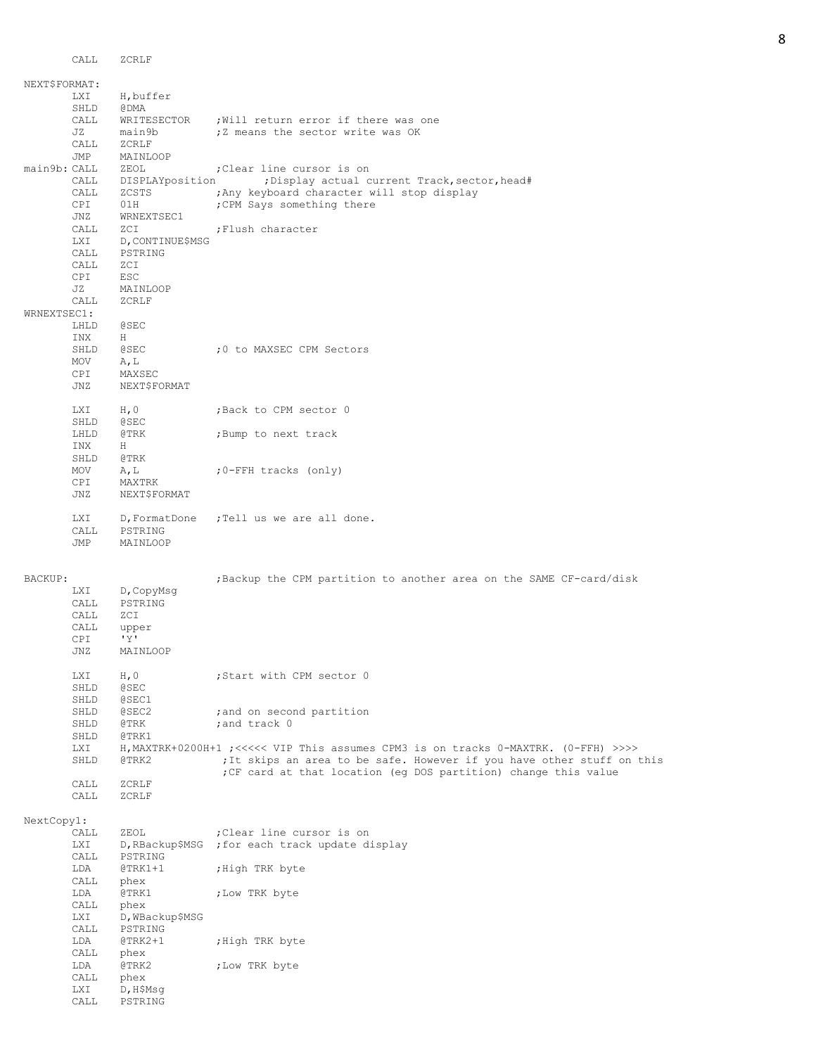|               | CALL              | ZCRLF                     |                                                                                     |
|---------------|-------------------|---------------------------|-------------------------------------------------------------------------------------|
|               |                   |                           |                                                                                     |
| NEXT\$FORMAT: |                   |                           |                                                                                     |
|               | <b>LXI</b>        | H, buffer                 |                                                                                     |
|               | SHLD<br>CALL      | @DMA                      |                                                                                     |
|               | JZ                | WRITESECTOR<br>main9b     | ; Will return error if there was one<br>;Z means the sector write was OK            |
|               | CALL              | ZCRLF                     |                                                                                     |
|               | JMP               | MAINLOOP                  |                                                                                     |
| main9b: CALL  |                   | ZEOL                      | ; Clear line cursor is on                                                           |
|               | CALL              | DISPLAYposition           | ; Display actual current Track, sector, head#                                       |
|               | CALL              | ZCSTS                     | ; Any keyboard character will stop display                                          |
|               | CPI.              | 01H                       | ; CPM Says something there                                                          |
|               | JNZ               | WRNEXTSEC1                |                                                                                     |
|               | CALL              | ZCI                       | ; Flush character                                                                   |
|               | LXI               | D, CONTINUE\$MSG          |                                                                                     |
|               | CALL              | PSTRING                   |                                                                                     |
|               | CALL              | ZCI                       |                                                                                     |
|               | CPI               | ESC                       |                                                                                     |
|               | JZ                | MAINLOOP                  |                                                                                     |
| WRNEXTSEC1:   | CALL              | ZCRLF                     |                                                                                     |
|               | LHLD              | <b>@SEC</b>               |                                                                                     |
|               | INX               | Н                         |                                                                                     |
|               | SHLD              | <b>@SEC</b>               | :0 to MAXSEC CPM Sectors                                                            |
|               | MOV               | A, L                      |                                                                                     |
|               | CPI               | MAXSEC                    |                                                                                     |
|               | JNZ               | NEXT\$FORMAT              |                                                                                     |
|               |                   |                           |                                                                                     |
|               | LXI               | H, 0                      | ; Back to CPM sector 0                                                              |
|               | SHLD              | <b>@SEC</b>               |                                                                                     |
|               | LHLD              | @TRK                      | ; Bump to next track                                                                |
|               | INX               | H                         |                                                                                     |
|               | SHLD              | @TRK                      |                                                                                     |
|               | MOV               | A, L                      | ;0-FFH tracks (only)                                                                |
|               | CPI<br>JNZ        | MAXTRK<br>NEXT\$FORMAT    |                                                                                     |
|               |                   |                           |                                                                                     |
|               | <b>LXI</b>        | D, FormatDone             | ;Tell us we are all done.                                                           |
|               | CALL              | PSTRING                   |                                                                                     |
|               | JMP               | MAINLOOP                  |                                                                                     |
|               |                   |                           |                                                                                     |
|               |                   |                           |                                                                                     |
| BACKUP:       |                   |                           | ; Backup the CPM partition to another area on the SAME CF-card/disk                 |
|               |                   |                           |                                                                                     |
|               | LXI               | D, CopyMsg                |                                                                                     |
|               | CALL              | PSTRING                   |                                                                                     |
|               | CALL              | ZCI                       |                                                                                     |
|               | CALL              | upper<br>'Y'              |                                                                                     |
|               | CPI.<br>$\rm JNZ$ | MAINLOOP                  |                                                                                     |
|               |                   |                           |                                                                                     |
|               | LXI               | H, 0                      | ;Start with CPM sector 0                                                            |
|               | SHLD              | <b>@SEC</b>               |                                                                                     |
|               | SHLD              | @SEC1                     |                                                                                     |
|               | SHLD              | @SEC2                     | ; and on second partition                                                           |
|               | SHLD              | @TRK                      | ; and track 0                                                                       |
|               | SHLD              | @TRK1                     |                                                                                     |
|               | LXI               |                           | H, MAXTRK+0200H+1 ; <<<<< VIP This assumes CPM3 is on tracks 0-MAXTRK. (0-FFH) >>>> |
|               | SHLD              | @TRK2                     | ; It skips an area to be safe. However if you have other stuff on this              |
|               | CALL              | ZCRLF                     | ;CF card at that location (eq DOS partition) change this value                      |
|               | CALL              | ZCRLF                     |                                                                                     |
|               |                   |                           |                                                                                     |
| NextCopy1:    |                   |                           |                                                                                     |
|               | CALL              | ZEOL                      | ; Clear line cursor is on                                                           |
|               | LXI               | D, RBackup\$MSG           | ; for each track update display                                                     |
|               | CALL              | PSTRING                   |                                                                                     |
|               | LDA               | $@{\rm TRK1+1}$           | ;High TRK byte                                                                      |
|               | CALL              | phex                      |                                                                                     |
|               | LDA<br>CALL       | @TRK1<br>phex             | ;Low TRK byte                                                                       |
|               | LXI               | D, WBackup\$MSG           |                                                                                     |
|               | CALL              | PSTRING                   |                                                                                     |
|               | LDA               | $@TRK2+1$                 | ;High TRK byte                                                                      |
|               | CALL              | phex                      |                                                                                     |
|               | LDA               | @TRK2                     | ;Low TRK byte                                                                       |
|               | CALL              | phex                      |                                                                                     |
|               | LXI<br>CALL       | $D$ , H $$Msg$<br>PSTRING |                                                                                     |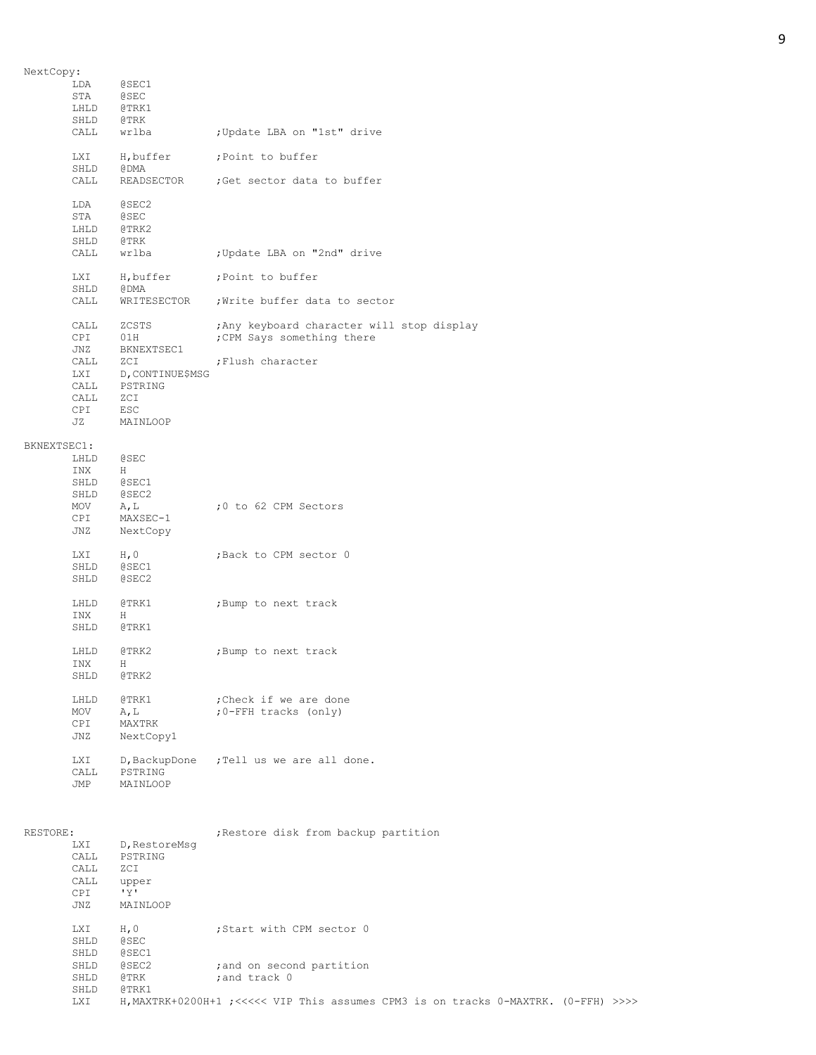| NextCopy:   |            |                  |                                            |
|-------------|------------|------------------|--------------------------------------------|
|             | LDA        | @SEC1            |                                            |
|             | STA        | <b>@SEC</b>      |                                            |
|             | LHLD       | @TRK1            |                                            |
|             | SHLD       | @TRK             |                                            |
|             | CALL       | wrlba            | ; Update LBA on "1st" drive                |
|             |            |                  |                                            |
|             | LXI        | H,buffer         | ; Point to buffer                          |
|             | SHLD       | @ DMA            |                                            |
|             | CALL       | READSECTOR       | ;Get sector data to buffer                 |
|             |            |                  |                                            |
|             | LDA        | @SEC2            |                                            |
|             | STA        | <b>@SEC</b>      |                                            |
|             | LHLD       | @TRK2            |                                            |
|             | SHLD       | @TRK             |                                            |
|             | CALL       | wrlba            | ; Update LBA on "2nd" drive                |
|             |            |                  |                                            |
|             | LXI        | H,buffer         | ; Point to buffer                          |
|             | SHLD       | @DMA             |                                            |
|             | CALL       | WRITESECTOR      | ; Write buffer data to sector              |
|             |            |                  |                                            |
|             | CALL       | ZCSTS            | ; Any keyboard character will stop display |
|             | CPI        | 01H              | ; CPM Says something there                 |
|             | JNZ        | BKNEXTSEC1       |                                            |
|             | CALL       | ZCI              | ; Flush character                          |
|             |            |                  |                                            |
|             | LXI        | D, CONTINUE\$MSG |                                            |
|             | CALL       | PSTRING          |                                            |
|             | CALL       | ZCI              |                                            |
|             | CPI        | ESC              |                                            |
|             | JZ         | MAINLOOP         |                                            |
|             |            |                  |                                            |
| BKNEXTSEC1: |            |                  |                                            |
|             | LHLD       | @ SEC            |                                            |
|             | INX        | H                |                                            |
|             | SHLD       | @SEC1            |                                            |
|             | SHLD       | @SEC2            |                                            |
|             | MOV        | A, L             | ;0 to 62 CPM Sectors                       |
|             | CPI        | MAXSEC-1         |                                            |
|             | JNZ        | NextCopy         |                                            |
|             |            |                  |                                            |
|             | <b>LXI</b> | H, 0             | ;Back to CPM sector 0                      |
|             | SHLD       | @SEC1            |                                            |
|             | SHLD       | @SEC2            |                                            |
|             |            |                  |                                            |
|             | LHLD       | @TRK1            | ;Bump to next track                        |
|             | INX        | Н                |                                            |
|             | SHLD       | @TRK1            |                                            |
|             |            |                  |                                            |
|             | LHLD       | @TRK2            | ; Bump to next track                       |
|             | INX        | Н.               |                                            |
|             | SHLD       | @TRK2            |                                            |
|             |            |                  |                                            |
|             | LHLD       | @TRK1            | ; Check if we are done                     |
|             | MOV        | A, L             | ;0-FFH tracks (only)                       |
|             | <b>CPI</b> | MAXTRK           |                                            |
|             |            |                  |                                            |
|             | JNZ        | NextCopy1        |                                            |
|             | LXI        |                  | D, BackupDone ; Tell us we are all done.   |
|             | CALL       | PSTRING          |                                            |
|             | JMP        | MAINLOOP         |                                            |
|             |            |                  |                                            |
|             |            |                  |                                            |
|             |            |                  |                                            |
| RESTORE:    |            |                  | Restore disk from backup partition;        |
|             | LXI        |                  |                                            |
|             |            | D, RestoreMsq    |                                            |
|             | CALL       | PSTRING          |                                            |
|             | CALL       | ZCI              |                                            |
|             | CALL       | upper            |                                            |
|             | CPI.       | 'Y'              |                                            |
|             | JNZ        | MAINLOOP         |                                            |
|             |            |                  |                                            |
|             | LXI        | H, 0             | ; Start with CPM sector 0                  |
|             | SHLD       | <b>@SEC</b>      |                                            |
|             | SHLD       | @SEC1            |                                            |

SHLD @SEC2 ;and on second partition

SHLD @TRK ;and track 0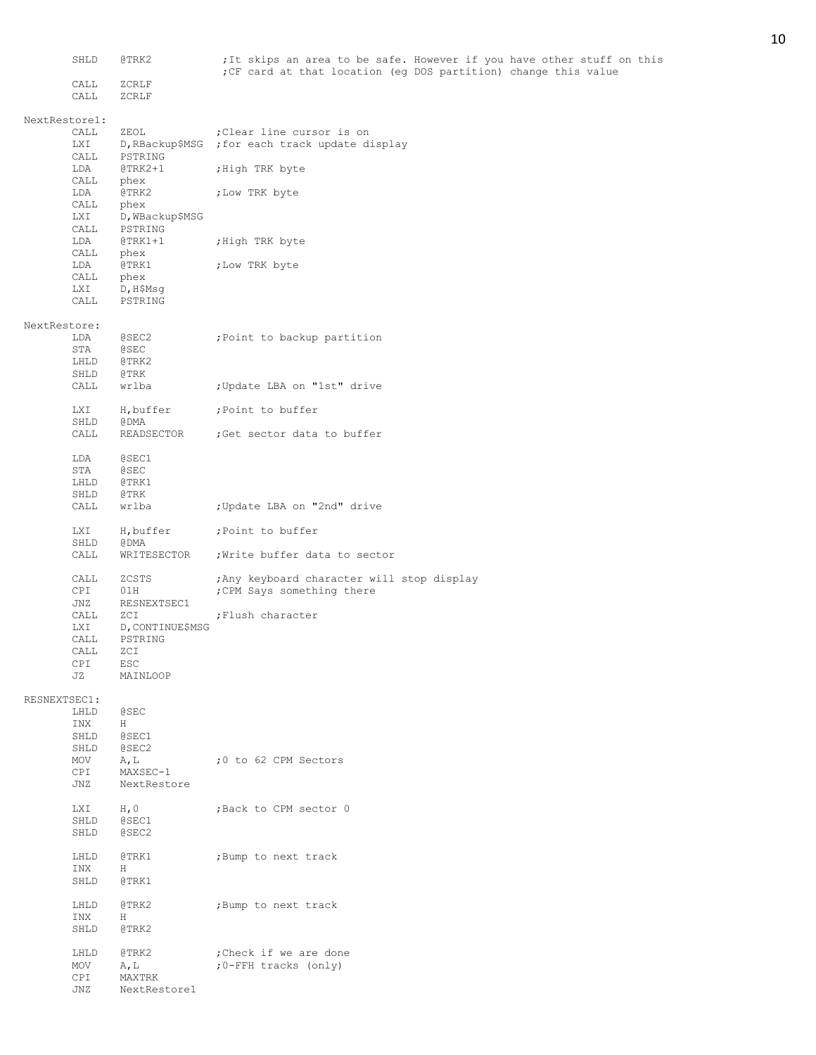|               | SHLD         | @TRK2                | ; It skips an area to be safe. However if you have other stuff on this<br>; CF card at that location (eq DOS partition) change this value |
|---------------|--------------|----------------------|-------------------------------------------------------------------------------------------------------------------------------------------|
|               | CALL         | ZCRLF                |                                                                                                                                           |
|               | CALL         | ZCRLF                |                                                                                                                                           |
| NextRestore1: |              |                      |                                                                                                                                           |
|               | CALL         | ZEOL                 | ; Clear line cursor is on                                                                                                                 |
|               | LXI          | D, RBackup\$MSG      | ; for each track update display                                                                                                           |
|               | CALL<br>LDA  | PSTRING<br>$@TRK2+1$ |                                                                                                                                           |
|               | CALL         | phex                 | ;High TRK byte                                                                                                                            |
|               | LDA          | @TRK2                | ; Low TRK byte                                                                                                                            |
|               | CALL         | phex                 |                                                                                                                                           |
|               | LXI          | D, WBackup\$MSG      |                                                                                                                                           |
|               | CALL         | PSTRING              |                                                                                                                                           |
|               | LDA          | $QTRK1+1$            | ;High TRK byte                                                                                                                            |
|               | CALL         | phex                 |                                                                                                                                           |
|               | LDA          | @TRK1                | ;Low TRK byte                                                                                                                             |
|               | CALL<br>LXI  | phex<br>D, H\$Msg    |                                                                                                                                           |
|               | CALL         | PSTRING              |                                                                                                                                           |
|               |              |                      |                                                                                                                                           |
| NextRestore:  |              |                      |                                                                                                                                           |
|               | LDA          | @SEC2                | ; Point to backup partition                                                                                                               |
|               | STA          | <b>@SEC</b>          |                                                                                                                                           |
|               | LHLD         | @TRK2                |                                                                                                                                           |
|               | SHLD<br>CALL | @TRK<br>wrlba        | ; Update LBA on "1st" drive                                                                                                               |
|               |              |                      |                                                                                                                                           |
|               | LXI          | H, buffer            | ; Point to buffer                                                                                                                         |
|               | SHLD         | @DMA                 |                                                                                                                                           |
|               | CALL         | READSECTOR           | ;Get sector data to buffer                                                                                                                |
|               | LDA          | @SEC1                |                                                                                                                                           |
|               | STA          | <b>@SEC</b>          |                                                                                                                                           |
|               | LHLD         | @TRK1                |                                                                                                                                           |
|               | SHLD         | @TRK                 |                                                                                                                                           |
|               | CALL         | wrlba                | ; Update LBA on "2nd" drive                                                                                                               |
|               | LXI          | H, buffer            | ; Point to buffer                                                                                                                         |
|               | SHLD         | @DMA                 |                                                                                                                                           |
|               | CALL         | WRITESECTOR          | ; Write buffer data to sector                                                                                                             |
|               | CALL         | ZCSTS                | ; Any keyboard character will stop display                                                                                                |
|               | CPI          | 01H                  | ; CPM Says something there                                                                                                                |
|               | JNZ          | RESNEXTSEC1          |                                                                                                                                           |
|               | CALL         | ZCI                  | ; Flush character                                                                                                                         |
|               | LXI          | D, CONTINUE\$MSG     |                                                                                                                                           |
|               | CALL<br>CALL | PSTRING<br>ZCI       |                                                                                                                                           |
|               | CPI          | ESC                  |                                                                                                                                           |
|               | JZ           | MAINLOOP             |                                                                                                                                           |
|               |              |                      |                                                                                                                                           |
| RESNEXTSEC1:  |              |                      |                                                                                                                                           |
|               | LHLD         | <b>@SEC</b>          |                                                                                                                                           |
|               | INX          | H                    |                                                                                                                                           |
|               | SHLD<br>SHLD | @SEC1<br>@SEC2       |                                                                                                                                           |
|               | MOV          | A, L                 | ;0 to 62 CPM Sectors                                                                                                                      |
|               | CPI          | MAXSEC-1             |                                                                                                                                           |
|               | JNZ          | NextRestore          |                                                                                                                                           |
|               |              |                      |                                                                                                                                           |
|               | LXI          | H, 0<br>@SEC1        | ; Back to CPM sector 0                                                                                                                    |
|               | SHLD<br>SHLD | @SEC2                |                                                                                                                                           |
|               |              |                      |                                                                                                                                           |
|               | LHLD         | @TRK1                | ; Bump to next track                                                                                                                      |
|               | INX          | H                    |                                                                                                                                           |
|               | SHLD         | @TRK1                |                                                                                                                                           |
|               | LHLD         | @TRK2                | ; Bump to next track                                                                                                                      |
|               | INX          | H                    |                                                                                                                                           |
|               | SHLD         | @TRK2                |                                                                                                                                           |
|               | LHLD         | @TRK2                | ; Check if we are done                                                                                                                    |
|               | MOV          | A, L                 | ;0-FFH tracks (only)                                                                                                                      |
|               | CPI          | MAXTRK               |                                                                                                                                           |
|               | JNZ          | NextRestore1         |                                                                                                                                           |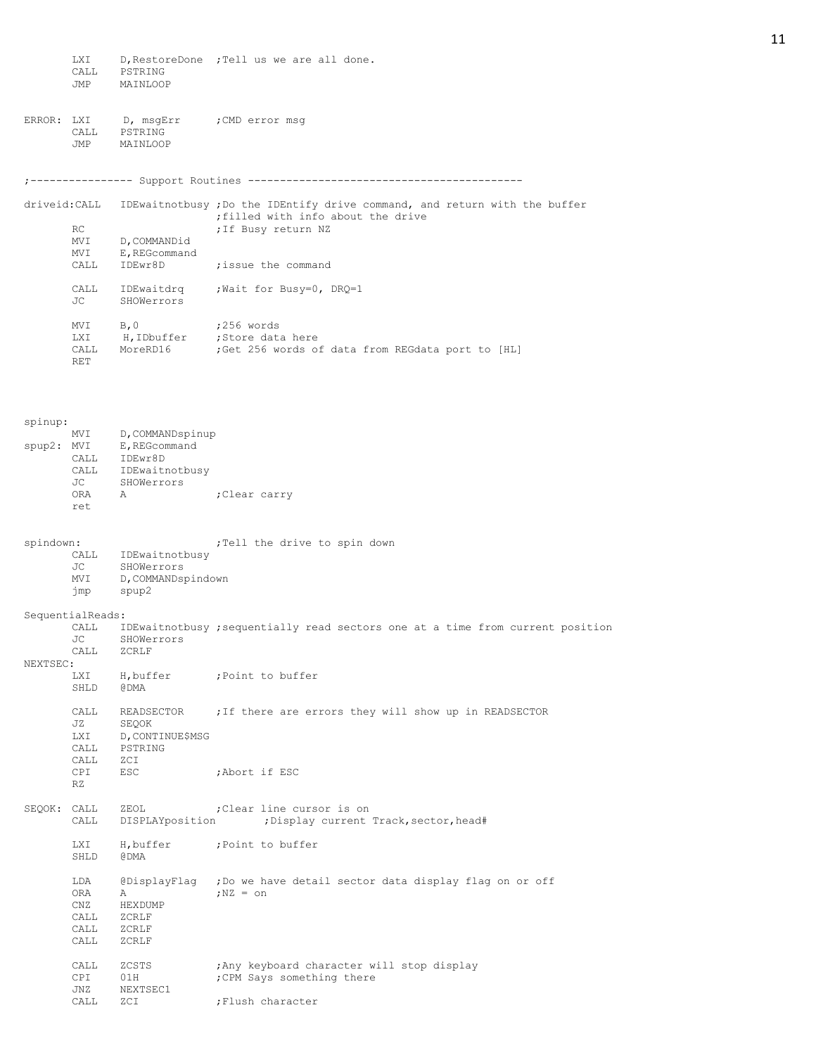|              | <b>LXI</b><br>CALL<br>JMP | PSTRING<br>MAINLOOP                                   | D, RestoreDone ; Tell us we are all done.                                                                 |
|--------------|---------------------------|-------------------------------------------------------|-----------------------------------------------------------------------------------------------------------|
| ERROR: LXI   | CALL<br>JMP               | D, msgErr      ; CMD error msg<br>PSTRING<br>MAINLOOP |                                                                                                           |
|              |                           |                                                       |                                                                                                           |
| driveid:CALL |                           |                                                       | IDEwaitnotbusy; Do the IDEntify drive command, and return with the buffer                                 |
|              | RC<br>MVI                 | D, COMMANDid                                          | ; filled with info about the drive<br>; If Busy return NZ                                                 |
|              | MVI<br>CALL               | E, REGcommand<br>IDEwr8D                              | ; issue the command                                                                                       |
|              | CALL                      |                                                       | IDEwaitdrq ; Wait for Busy=0, DRQ=1                                                                       |
|              | JC                        | SHOWerrors                                            |                                                                                                           |
|              | MVI<br>LXI<br>CALL<br>RET | B, 0                                                  | ;256 words<br>H, IDbuffer ; Store data here<br>MoreRD16 ; Get 256 words of data from REGdata port to [HL] |
|              |                           |                                                       |                                                                                                           |
| spinup:      |                           |                                                       |                                                                                                           |
| spup2: MVI   |                           | MVI D, COMMANDspinup<br>E, REGcommand                 |                                                                                                           |
|              | CALL                      | CALL IDEwr8D<br>IDEwaitnotbusy                        |                                                                                                           |
|              | JC<br>ORA                 | SHOWerrors<br>Α                                       | ;Clear carry                                                                                              |
|              | ret                       |                                                       |                                                                                                           |
| spindown:    |                           |                                                       | ; Tell the drive to spin down                                                                             |
|              | CALL<br>JC                | IDEwaitnotbusy<br>SHOWerrors                          |                                                                                                           |
|              | MVI<br>jmp                | D, COMMANDspindown<br>spup2                           |                                                                                                           |
|              | SequentialReads:          |                                                       |                                                                                                           |
|              | CALL<br>JС                | SHOWerrors                                            | IDEwaitnotbusy ; sequentially read sectors one at a time from current position                            |
| NEXTSEC:     | CALL                      | ZCRLF                                                 |                                                                                                           |
|              | LXI<br>SHLD               | H,buffer<br>@DMA                                      | ;Point to buffer                                                                                          |
|              | CALL                      |                                                       | READSECTOR . If there are errors they will show up in READSECTOR                                          |
|              | JZ<br>LXI<br>CALL         | SEQOK<br>D, CONTINUE\$MSG<br>PSTRING                  |                                                                                                           |
|              | CALL                      | ZCI                                                   |                                                                                                           |
|              | CPI<br>RZ                 | ESC                                                   | ;Abort if ESC                                                                                             |
| SEQOK: CALL  | CALL                      | ZEOL<br>DISPLAYposition                               | ; Clear line cursor is on<br>; Display current Track, sector, head#                                       |
|              | LXI<br>SHLD               | H, buffer<br>@DMA                                     | ; Point to buffer                                                                                         |
|              | LDA                       |                                                       | @DisplayFlag ;Do we have detail sector data display flag on or off                                        |
|              | ORA<br>CNZ                | Α<br>HEXDUMP                                          | $;$ NZ = $\circ$ n                                                                                        |
|              | CALL<br>CALL<br>CALL      | ZCRLF<br>ZCRLF<br>ZCRLF                               |                                                                                                           |
|              | CALL<br>CPI<br>JNZ        | ZCSTS<br>01H<br>NEXTSEC1                              | ; Any keyboard character will stop display<br>; CPM Says something there                                  |
|              | CALL                      | ZCI                                                   | ; Flush character                                                                                         |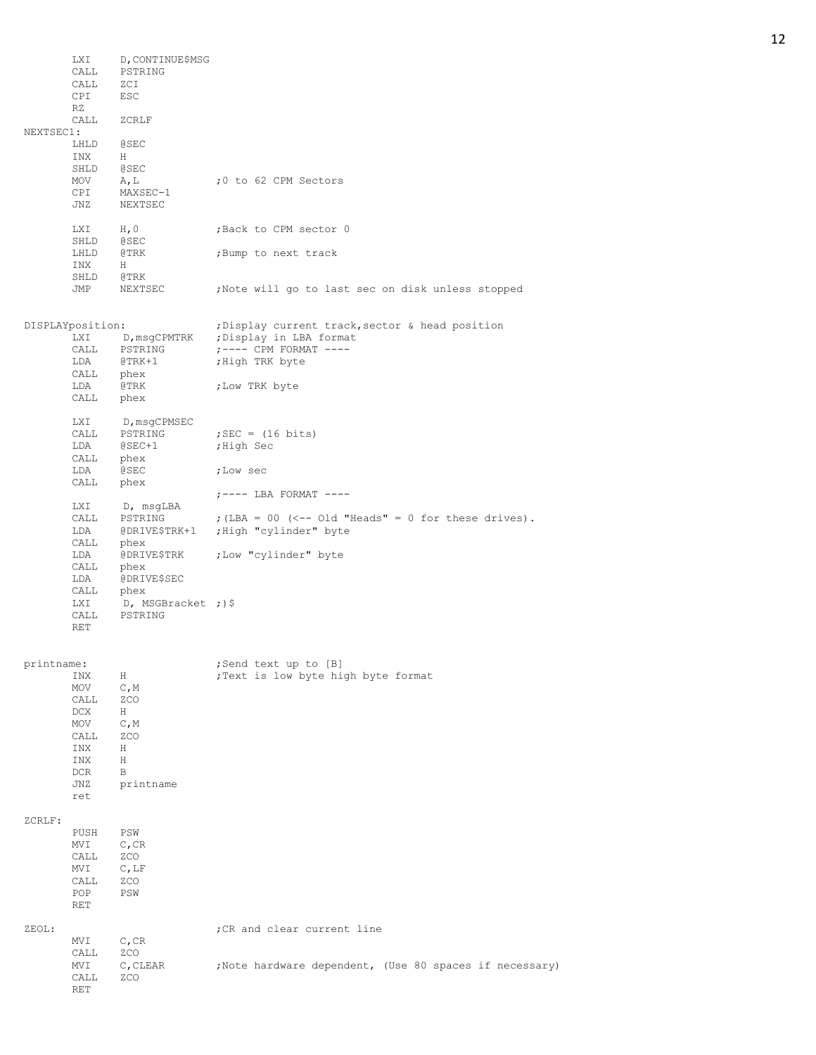|            | LXI<br>CALL<br>CALL<br>CPI                       | D, CONTINUE\$MSG<br>PSTRING<br>ZCI<br>ESC        |                                                             |
|------------|--------------------------------------------------|--------------------------------------------------|-------------------------------------------------------------|
|            | RZ<br>CALL                                       | ZCRLF                                            |                                                             |
| NEXTSEC1:  |                                                  |                                                  |                                                             |
|            | LHLD<br>INX<br>SHLD                              | <b>@SEC</b><br>H<br><b>@SEC</b>                  |                                                             |
|            | MOV<br>CPI<br>JNZ                                | A, L<br>MAXSEC-1<br>NEXTSEC                      | ;0 to 62 CPM Sectors                                        |
|            | LXI<br>SHLD                                      | H, 0<br><b>@SEC</b>                              | ; Back to CPM sector 0                                      |
|            | LHLD<br>INX                                      | @TRK<br>H                                        | ; Bump to next track                                        |
|            | SHLD<br>JMP                                      | @TRK<br>NEXTSEC                                  | Note will go to last sec on disk unless stopped             |
|            | DISPLAYposition:                                 |                                                  | ; Display current track, sector & head position             |
|            | LXI<br>CALL                                      | D, msgCPMTRK<br>PSTRING                          | ; Display in LBA format<br>$:---$ CPM FORMAT $---$          |
|            | LDA<br>CALL                                      | @TRK+1<br>phex                                   | ; High TRK byte                                             |
|            | LDA<br>CALL                                      | @TRK<br>phex                                     | ; Low TRK byte                                              |
|            | LXI                                              | D, msqCPMSEC                                     |                                                             |
|            | CALL<br>LDA                                      | PSTRING<br>$@$ SEC+1                             | ; SEC = $(16 \text{ bits})$<br>;High Sec                    |
|            | CALL<br>LDA                                      | phex<br>@SEC                                     | ;Low sec                                                    |
|            | CALL                                             | phex                                             | $:---$ LBA FORMAT $---$                                     |
|            | LXI<br>CALL                                      | D, msgLBA<br>PSTRING                             | ; $(LBA = 00$ (<-- Old "Heads" = 0 for these drives).       |
|            | LDA<br>CALL                                      | phex                                             | @DRIVE\$TRK+1 ; High "cylinder" byte                        |
|            | LDA<br>CALL                                      | @DRIVE\$TRK<br>phex                              | ;Low "cylinder" byte                                        |
|            | LDA<br>CALL                                      | @DRIVE\$SEC<br>phex                              |                                                             |
|            | LXI<br>CALL<br>RET                               | D, MSGBracket ;)\$<br>PSTRING                    |                                                             |
|            |                                                  |                                                  |                                                             |
| printname: | INX                                              | H                                                | ;Send text up to [B]<br>; Text is low byte high byte format |
|            | MOV<br>CALL                                      | C, M<br>ZCO                                      |                                                             |
|            | DCX<br>MOV                                       | H<br>C, M                                        |                                                             |
|            | CALL                                             | ZCO                                              |                                                             |
|            | INX<br>INX                                       | Η<br>Η                                           |                                                             |
|            | DCR<br>JNZ<br>ret                                | B<br>printname                                   |                                                             |
| ZCRLF:     |                                                  |                                                  |                                                             |
|            | PUSH<br>MVI<br>CALL<br>MVI<br>CALL<br>POP<br>RET | PSW<br>$C$ , CR<br>ZCO<br>$C$ , LF<br>ZCO<br>PSW |                                                             |
| ZEOL:      |                                                  |                                                  | ; CR and clear current line                                 |
|            | MVI<br>CALL                                      | $C$ , CR<br>ZCO                                  |                                                             |
|            | MVI<br>CALL<br>RET                               | C, CLEAR<br>ZCO                                  | ; Note hardware dependent, (Use 80 spaces if necessary)     |

12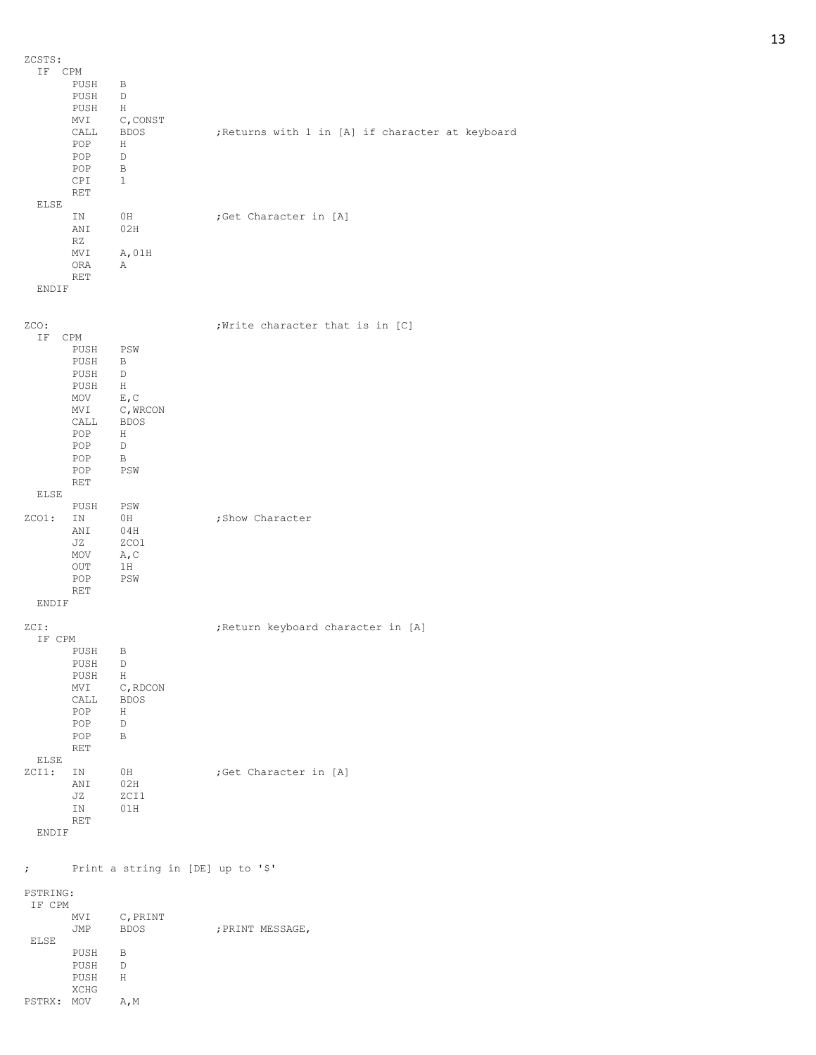ZCSTS: IF CPM PUSH B PUSH PUSH H MVI C, CONST CALL BDOS ; Returns with 1 in [A] if character at keyboard POP H POP D POP B CPI 1 RET ELSE IN 0H ;Get Character in [A]<br>ANI 02H  $02H$ RZ MVI A, 01H ORA A RET ENDIF zco:  $;$   $;$   $\blacksquare$   $;$   $\blacksquare$   $;$   $\blacksquare$   $\blacksquare$   $\blacksquare$  IF CPM PUSH PSW PUSH B PUSH PUSH H<br>MOV E, C  $MOV$ MVI C, WRCON CALL BDOS POP H POP D POP B POP PSW RET ELSE PUSH PSW<br>ZCO1: IN 0H ; Show Character ANI 04H<br>JZ ZCO1 zco1 MOV  $A, C$ OUT 1H POP PSW RET ENDIF ZCI:  $;$  ;Return keyboard character in [A] IF CPM PUSH B PUSH D  $PUSH$ MVI C, RDCON CALL BDOS POP H POP D POP B RET ELSE ZCI1: IN 0H ;Get Character in [A]<br>ANI 02H ANI 02H<br>JZ ZCT1  $ZCT1$ IN 01H RET ENDIF ; Print a string in [DE] up to '\$' PSTRING: IF CPM MVI C, PRINT<br>JMP BDOS ; PRINT MESSAGE, ELSE PUSH B PUSH D PUSH H XCHG PSTRX: MOV A, M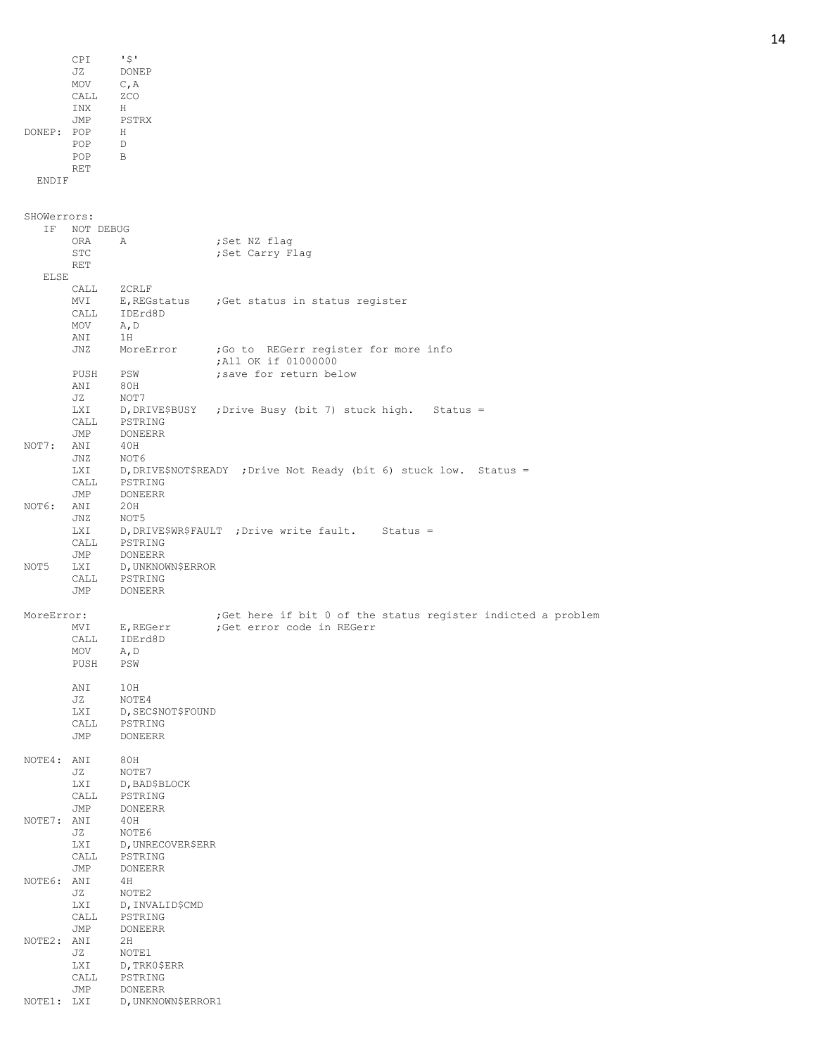|             | CPI              | ' \$ '                        |                                                                    |
|-------------|------------------|-------------------------------|--------------------------------------------------------------------|
|             | JZ               | DONEP                         |                                                                    |
|             | MOV              | C, A                          |                                                                    |
|             | CALL             | ZCO                           |                                                                    |
|             | INX              | H                             |                                                                    |
|             | JMP              | PSTRX                         |                                                                    |
| DONEP: POP  |                  | H                             |                                                                    |
|             | POP              | D                             |                                                                    |
|             | POP              | B                             |                                                                    |
|             | RET              |                               |                                                                    |
| ENDIF       |                  |                               |                                                                    |
|             |                  |                               |                                                                    |
|             |                  |                               |                                                                    |
| SHOWerrors: |                  |                               |                                                                    |
| ΙF          | NOT DEBUG        |                               |                                                                    |
|             | ORA<br>STC       | Α                             | ;Set NZ flag                                                       |
|             | RET              |                               | ;Set Carry Flag                                                    |
| <b>ELSE</b> |                  |                               |                                                                    |
|             | CALL             | ZCRLF                         |                                                                    |
|             | MVI              |                               | E, REGstatus ; Get status in status register                       |
|             | CALL             | IDErd8D                       |                                                                    |
|             | MOV              | A, D                          |                                                                    |
|             | ANI              | 1H                            |                                                                    |
|             | JNZ              | MoreError                     | ; Go to REGerr register for more info                              |
|             |                  |                               | ; All OK if 01000000                                               |
|             | PUSH             | PSW                           | ; save for return below                                            |
|             | ANI              | 80H                           |                                                                    |
|             | JZ               | NOT7                          |                                                                    |
|             | LXI              |                               | D, DRIVE\$BUSY ; Drive Busy (bit 7) stuck high. Status =           |
|             | CALL             | PSTRING                       |                                                                    |
|             | JMP              | <b>DONEERR</b>                |                                                                    |
| NOT7:       | ANI              | 40H                           |                                                                    |
|             | JNZ              | NOT6                          |                                                                    |
|             | <b>LXI</b>       |                               | D, DRIVE\$NOT\$READY ; Drive Not Ready (bit 6) stuck low. Status = |
|             | CALL             | PSTRING                       |                                                                    |
|             | JMP              | <b>DONEERR</b>                |                                                                    |
| NOT6:       | ANI              | 20H                           |                                                                    |
|             | JNZ              | NOT5                          |                                                                    |
|             | LXI              |                               | D, DRIVE\$WR\$FAULT ; Drive write fault.<br>$Status =$             |
|             | CALL             | PSTRING                       |                                                                    |
|             | JMP              | DONEERR                       |                                                                    |
| NOT5        | LXI              | D, UNKNOWN\$ERROR             |                                                                    |
|             | CALL             | PSTRING                       |                                                                    |
|             | JMP              | <b>DONEERR</b>                |                                                                    |
|             |                  |                               |                                                                    |
| MoreError:  |                  |                               | ; Get here if bit 0 of the status register indicted a problem      |
|             | MVI              | E, REGerr                     | :Get error code in REGerr                                          |
|             | CALL             | IDErd8D                       |                                                                    |
|             | MOV              | A, D                          |                                                                    |
|             | PUSH             | PSW                           |                                                                    |
|             |                  |                               |                                                                    |
|             | ANI              | 10H<br>NOTE4                  |                                                                    |
|             | JZ<br><b>LXI</b> |                               |                                                                    |
|             | CALL             | D, SEC\$NOT\$FOUND<br>PSTRING |                                                                    |
|             | JMP              | DONEERR                       |                                                                    |
|             |                  |                               |                                                                    |
| NOTE4: ANI  |                  | 80H                           |                                                                    |
|             | JZ               | NOTE7                         |                                                                    |
|             | LXI              | D, BAD\$BLOCK                 |                                                                    |
|             | CALL             | PSTRING                       |                                                                    |
|             | JMP              | DONEERR                       |                                                                    |
| NOTE7: ANI  |                  | 40H                           |                                                                    |
|             | JZ               | NOTE6                         |                                                                    |
|             | LXI              | D, UNRECOVER\$ERR             |                                                                    |
|             | CALL             | PSTRING                       |                                                                    |
|             | JMP              | <b>DONEERR</b>                |                                                                    |
| NOTE6: ANI  |                  | 4 H                           |                                                                    |
|             | JZ               | NOTE2                         |                                                                    |
|             | <b>LXI</b>       | D, INVALIDȘCMD                |                                                                    |
|             | CALL             | PSTRING                       |                                                                    |
|             | JMP              | DONEERR                       |                                                                    |
| NOTE2: ANI  |                  | 2H                            |                                                                    |
|             | JZ               | NOTE1                         |                                                                    |
|             | LXI              | D, TRK0\$ERR                  |                                                                    |
|             | CALL             | PSTRING                       |                                                                    |
|             | JMP              | DONEERR                       |                                                                    |
| NOTE1: LXI  |                  | D, UNKNOWN\$ERROR1            |                                                                    |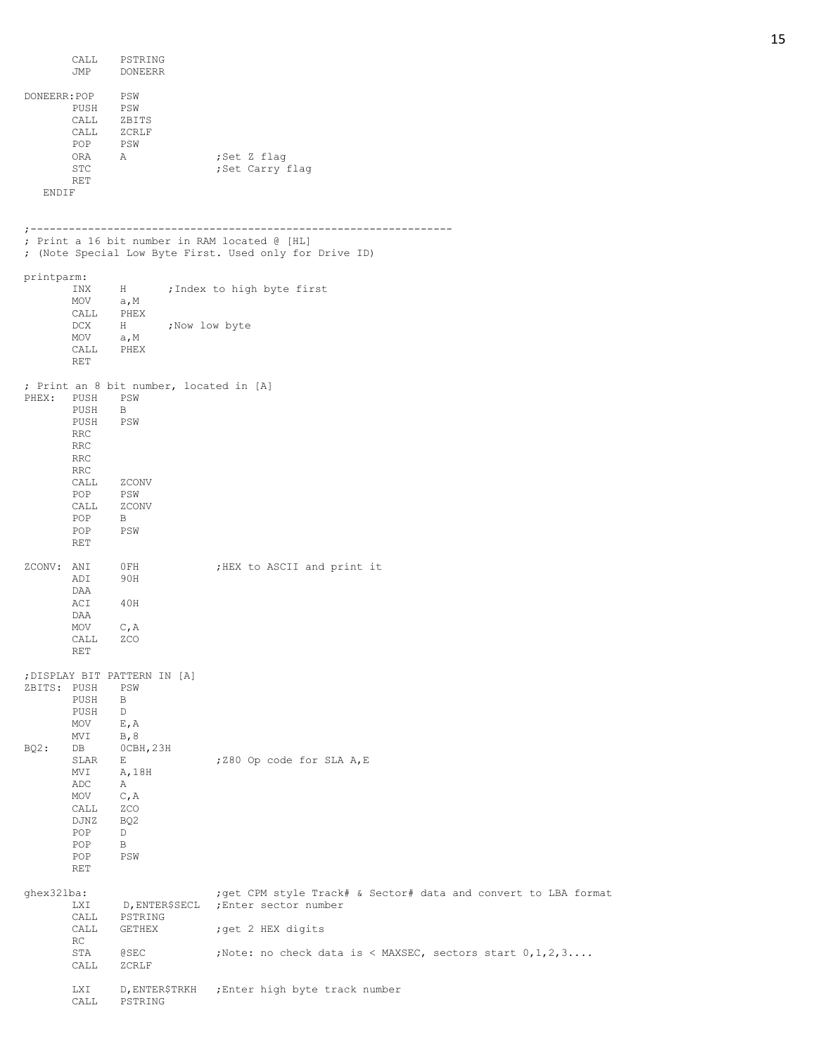|              | CALL<br>JMP        | PSTRING<br>DONEERR                      |                                                                                                          |
|--------------|--------------------|-----------------------------------------|----------------------------------------------------------------------------------------------------------|
| DONEERR: POP |                    | PSW                                     |                                                                                                          |
|              | PUSH               | PSW                                     |                                                                                                          |
|              | CALL               | ZBITS                                   |                                                                                                          |
|              | CALL               | ZCRLF                                   |                                                                                                          |
|              | POP                | PSW                                     |                                                                                                          |
|              | ORA                | A                                       | ;Set Z flag                                                                                              |
|              | STC                |                                         | ;Set Carry flag                                                                                          |
| ENDIF        | RET                |                                         |                                                                                                          |
|              |                    |                                         |                                                                                                          |
|              |                    |                                         |                                                                                                          |
|              |                    |                                         | ; Print a 16 bit number in RAM located @ [HL]<br>; (Note Special Low Byte First. Used only for Drive ID) |
|              |                    |                                         |                                                                                                          |
| printparm:   | INX                | $H$ and $H$                             | ; Index to high byte first                                                                               |
|              | MOV                | a, M                                    |                                                                                                          |
|              | CALL               | PHEX                                    |                                                                                                          |
|              | DCX                | H ; Now low byte                        |                                                                                                          |
|              | MOV                | a, M                                    |                                                                                                          |
|              | CALL<br><b>RET</b> | PHEX                                    |                                                                                                          |
|              |                    | ; Print an 8 bit number, located in [A] |                                                                                                          |
| PHEX: PUSH   |                    | PSW                                     |                                                                                                          |
|              | PUSH               | B                                       |                                                                                                          |
|              | PUSH               | PSW                                     |                                                                                                          |
|              | <b>RRC</b>         |                                         |                                                                                                          |
|              | <b>RRC</b>         |                                         |                                                                                                          |
|              | <b>RRC</b>         |                                         |                                                                                                          |
|              | <b>RRC</b><br>CALL | ZCONV                                   |                                                                                                          |
|              | POP                | PSW                                     |                                                                                                          |
|              | CALL               | ZCONV                                   |                                                                                                          |
|              | POP                | B                                       |                                                                                                          |
|              | POP                | PSW                                     |                                                                                                          |
|              | <b>RET</b>         |                                         |                                                                                                          |
| ZCONV: ANI   |                    | OFH                                     | ;HEX to ASCII and print it                                                                               |
|              | ADI                | 90H                                     |                                                                                                          |
|              | DAA                |                                         |                                                                                                          |
|              | ACI                | 40H                                     |                                                                                                          |
|              | DAA                |                                         |                                                                                                          |
|              | MOV<br>CALL        | C, A<br>ZCO                             |                                                                                                          |
|              | <b>RET</b>         |                                         |                                                                                                          |
|              |                    | ; DISPLAY BIT PATTERN IN [A]            |                                                                                                          |
| ZBITS: PUSH  |                    | PSW                                     |                                                                                                          |
|              | PUSH               | В                                       |                                                                                                          |
|              | PUSH               | D                                       |                                                                                                          |
|              | MOV                | E, A                                    |                                                                                                          |
|              | MVI                | B, 8                                    |                                                                                                          |
| $BQ2$ :      | DB                 | OCBH, 23H                               |                                                                                                          |
|              | SLAR<br>MVI        | Е<br>A, 18H                             | ; Z80 Op code for SLA A, E                                                                               |
|              | ADC                | Α                                       |                                                                                                          |
|              | MOV                | C, A                                    |                                                                                                          |
|              | CALL               | ZCO                                     |                                                                                                          |
|              | DJNZ               | BQ2                                     |                                                                                                          |
|              | POP                | D                                       |                                                                                                          |
|              | POP                | В                                       |                                                                                                          |
|              | POP<br><b>RET</b>  | PSW                                     |                                                                                                          |
|              |                    |                                         |                                                                                                          |
| ghex32lba:   |                    |                                         | ; get CPM style Track# & Sector# data and convert to LBA format                                          |
|              | LXI                | D, ENTERȘSECL                           | ; Enter sector number                                                                                    |
|              | CALL<br>CALL       | PSTRING<br>GETHEX                       | ; get 2 HEX digits                                                                                       |
|              | RC                 |                                         |                                                                                                          |
|              | STA                | @SEC                                    | ; Note: no check data is < MAXSEC, sectors start $0, 1, 2, 3 \ldots$                                     |
|              | CALL               | ZCRLF                                   |                                                                                                          |
|              | LXI<br>CALL        | D, ENTER\$TRKH<br>PSTRING               | ; Enter high byte track number                                                                           |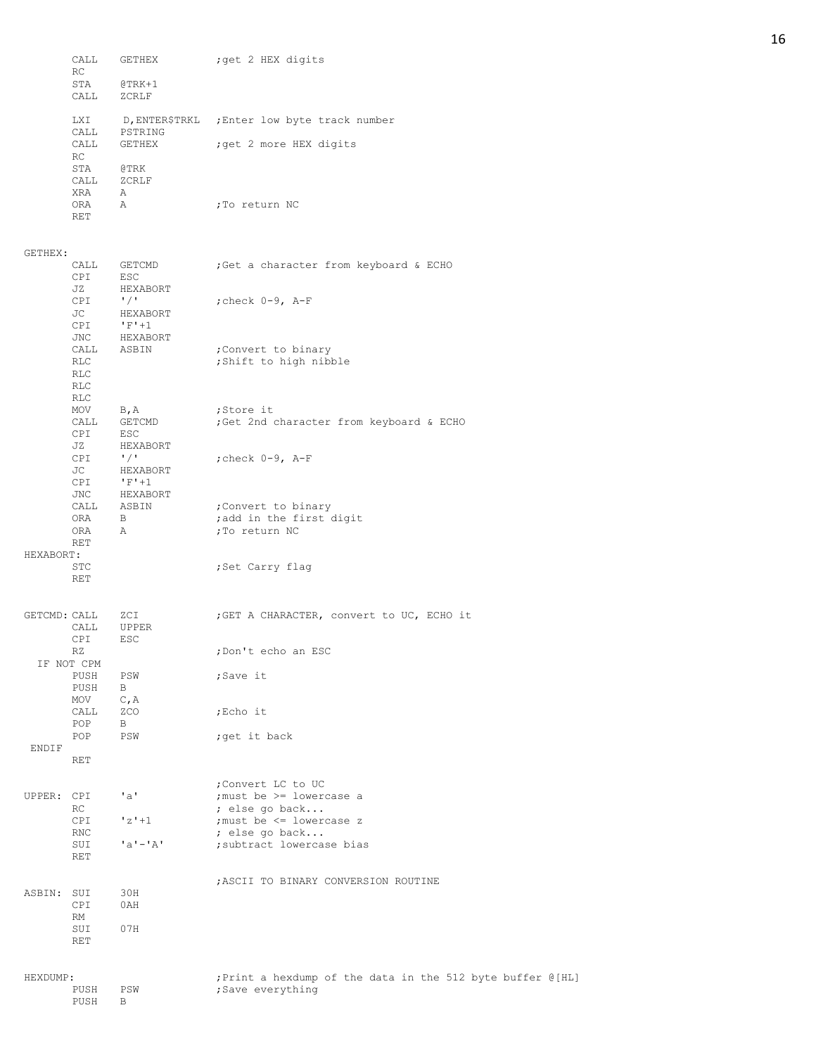|              | CALL<br>RC                       | GETHEX                                         | ; get 2 HEX digits                                                |
|--------------|----------------------------------|------------------------------------------------|-------------------------------------------------------------------|
|              | STA<br>CALL                      | $@TRK+1$<br>ZCRLF                              |                                                                   |
|              | LXI<br>CALL                      | PSTRING                                        | D, ENTER\$TRKL ; Enter low byte track number                      |
|              | CALL<br>RC                       | GETHEX                                         | ; get 2 more HEX digits                                           |
|              | STA<br>CALL                      | @TRK<br>ZCRLF                                  |                                                                   |
|              | XRA<br>ORA<br>RET                | Α<br>Α                                         | ;To return NC                                                     |
| GETHEX:      |                                  |                                                |                                                                   |
|              | CALL<br>CPI<br>JZ                | GETCMD<br>ESC<br>HEXABORT                      | ; Get a character from keyboard & ECHO                            |
|              | <b>CPI</b><br>JC<br>CPI          | $^{\prime}$ / $^{\prime}$<br>HEXABORT<br>$F+1$ | ; check $0-9$ , $A-F$                                             |
|              | JNC<br>CALL<br>RLC<br>RLC<br>RLC | HEXABORT<br>ASBIN                              | ;Convert to binary<br>; Shift to high nibble                      |
|              | RLC<br>MOV                       | B, A                                           | ;Store it                                                         |
|              | CALL<br>CPI<br>JZ                | GETCMD<br>ESC<br>HEXABORT                      | ;Get 2nd character from keyboard & ECHO                           |
|              | CPI<br>JC<br>CPI                 | $\frac{1}{2}$<br>HEXABORT<br>$F+1$             | ; check $0-9$ , $A-F$                                             |
|              | JNC<br>CALL<br>ORA<br>ORA        | HEXABORT<br>ASBIN<br>$\mathbf{B}$<br>Α         | ; Convert to binary<br>; add in the first digit<br>; To return NC |
| HEXABORT:    | RET                              |                                                |                                                                   |
|              | STC<br>RET                       |                                                | ;Set Carry flag                                                   |
| GETCMD: CALL | CALL<br><b>CPI</b>               | ZCI<br>UPPER<br>ESC                            | ; GET A CHARACTER, convert to UC, ECHO it                         |
|              | RZ<br>IF NOT CPM                 |                                                | ;Don't echo an ESC                                                |
|              | PUSH<br>PUSH<br>MOV              | PSW<br>B<br>C, A                               | ;Save it                                                          |
|              | CALL<br>POP                      | ZCO<br>В                                       | ;Echo it                                                          |
| ENDIF        | POP                              | PSW                                            | ; get it back                                                     |
|              | RET                              |                                                |                                                                   |
| UPPER: CPI   |                                  | "a"                                            | ; Convert LC to UC<br>; must be >= lowercase a                    |
|              | RC<br>CPI                        | $z' + 1$                                       | ; else go back<br>; must be <= lowercase z                        |
|              | RNC<br>SUI<br><b>RET</b>         | $'a' - 'A'$                                    | ; else go back<br>; subtract lowercase bias                       |
|              |                                  |                                                | ; ASCII TO BINARY CONVERSION ROUTINE                              |
| ASBIN: SUI   | CPI<br>RM                        | 30H<br>0AH                                     |                                                                   |
|              | SUI<br>RET                       | 07H                                            |                                                                   |
| HEXDUMP:     |                                  |                                                | ; Print a hexdump of the data in the 512 byte buffer @ [HL]       |
|              | PUSH<br>PUSH                     | PSW<br>В                                       | ; Save everything                                                 |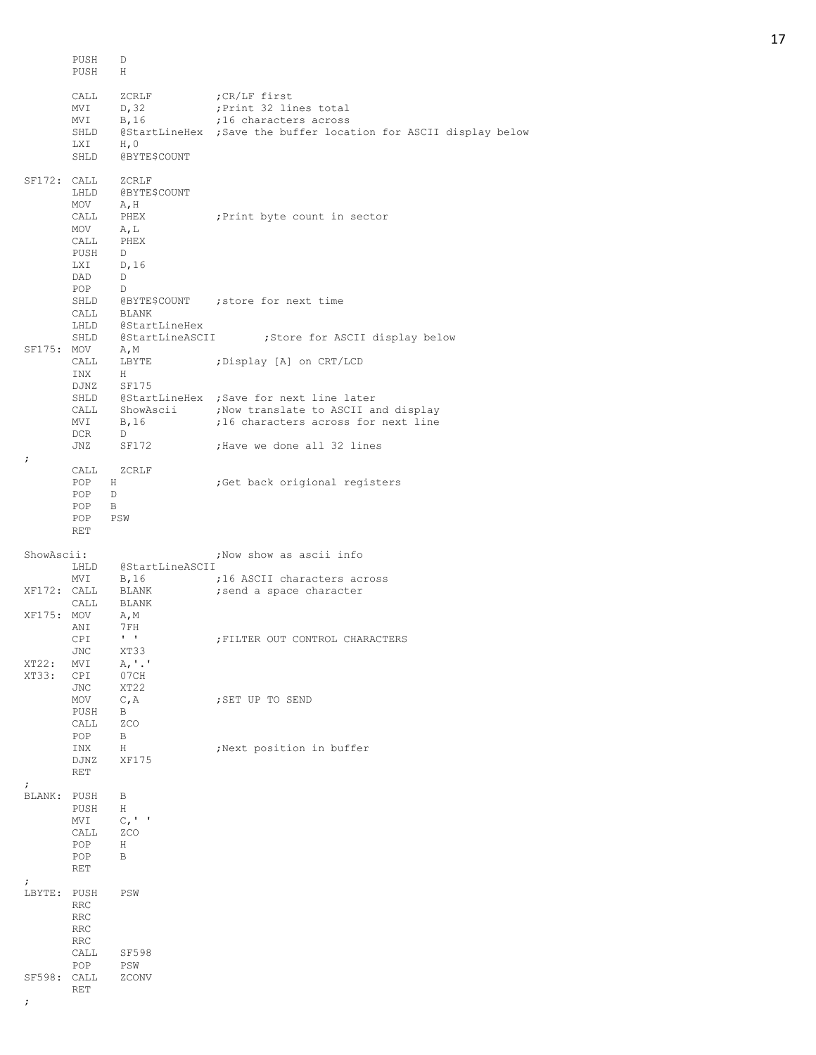PUSH D<br>PUSH H PUSH CALL ZCRLF ; CR/LF first MVI D,32 ; Print 32 lines total MVI B, 16 5 716 characters across SHLD @StartLineHex ; Save the buffer location for ASCII display below LXI H, 0 SHLD @BYTE\$COUNT SF172: CALL ZCRLF LHLD @BYTE\$COUNT<br>MOV A, H A, H<br>PHEX CALL PHEX ;Print byte count in sector<br>MOV A,L MOV A, L<br>CALL PHEX PHEX PUSH D LXI D,16 DAD D POP D<br>SHLD @BYTE\$COUNT SHLD @BYTE\$COUNT ; store for next time CALL BLANK LHLD @StartLineHex SHLD @StartLineASCII ;Store for ASCII display below SF175: MOV A,M CALL LBYTE ;Display [A] on CRT/LCD INX H INX DJNZ SF175 SHLD @StartLineHex ; Save for next line later CALL ShowAscii : ;Now translate to ASCII and display MVI B, 16  $\blacksquare$  ;16 characters across for next line DCR D JNZ SF172 ; Have we done all 32 lines ; CALL ZCRLF<br>POP H **POP 75** H is that is considered to the contract that is the constant of the constant of the constant of the constant of the constant of the constant of the constant of the constant of the constant of the constant of the c POP D  $POP$ POP PSW RET ShowAscii:  $\qquad \qquad ;\text{Now show as } \text{a} \text{ss} \text{c} \text{in} \text{fo}$ LHLD @StartLineASCII<br>MVI B,16 ; MVI B, 16  $\blacksquare$  ;16 ASCII characters across XF172: CALL BLANK ; send a space character CALL BLANK XF175: MOV A,M ANI 7FH CPI ' ' ;FILTER OUT CONTROL CHARACTERS JNC XT33 XT33 XT22: MVI A,'.'<br>XT33: CPI 07CH XT33: CPI JNC XT22 MOV C, A ; SET UP TO SEND PUSH B CALL ZCO POP B INX H ;Next position in buffer DJNZ XF175 RET ; BLANK: PUSH B PUSH H<br>MVI C,  $C, '$  ' CALL ZCO POP H POP B RET ; LBYTE: PUSH PSW RRC RRC RRC RRC<br>CALL SF598 POP PSW SF598: CALL ZCONV RET ;

17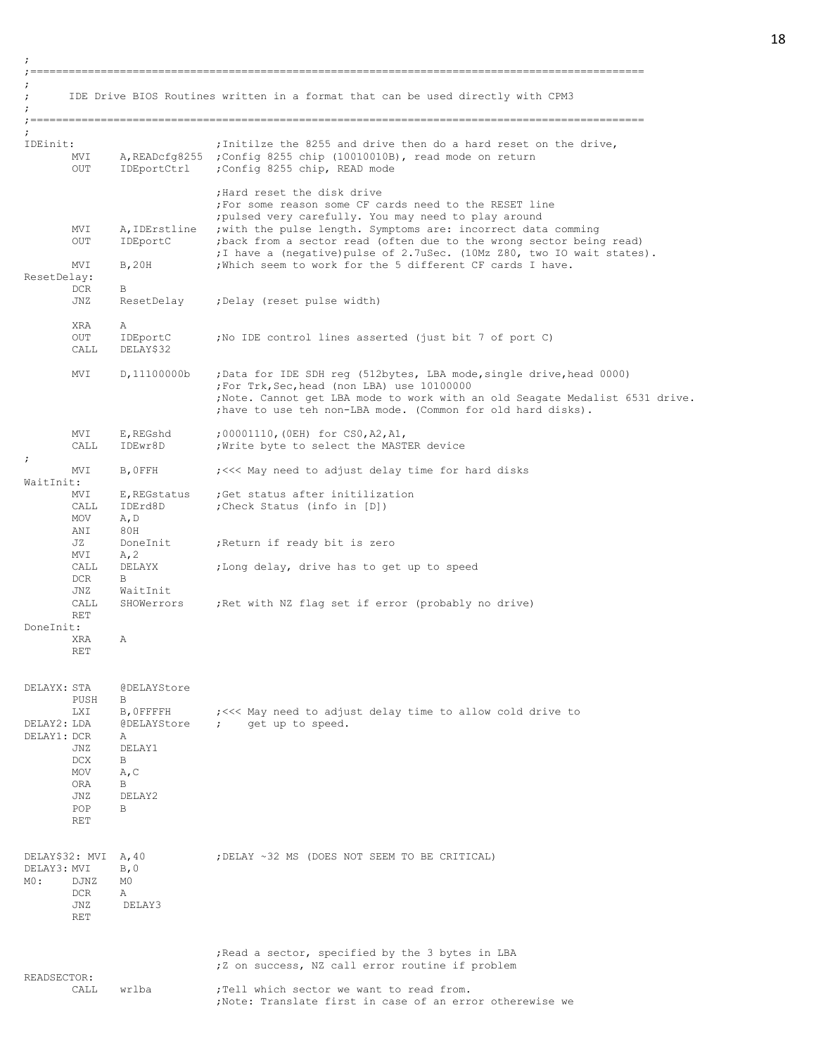; ;================================================================================================ ; ; IDE Drive BIOS Routines written in a format that can be used directly with CPM3 ; ;================================================================================================ ; IDEinit:  $\qquad \qquad$  ; Initilze the 8255 and drive then do a hard reset on the drive, MVI A,READcfg8255 ;Config 8255 chip (10010010B), read mode on return OUT IDEportCtrl ;Config 8255 chip, READ mode ;Hard reset the disk drive ;For some reason some CF cards need to the RESET line ;pulsed very carefully. You may need to play around MVI A, IDErstline ; with the pulse length. Symptoms are: incorrect data comming<br>OUT IDEportC ; back from a sector read (often due to the wrong sector being ; back from a sector read (often due to the wrong sector being read) ;I have a (negative)pulse of 2.7uSec. (10Mz Z80, two IO wait states). MVI B, 20H ; Which seem to work for the 5 different CF cards I have. ResetDelay: DCR B JNZ ResetDelay ;Delay (reset pulse width) XRA A OUT IDEportC ;No IDE control lines asserted (just bit 7 of port C) CALL DELAY\$32 MVI D,11100000b ;Data for IDE SDH reg (512bytes, LBA mode,single drive,head 0000) ;For Trk,Sec,head (non LBA) use 10100000 ;Note. Cannot get LBA mode to work with an old Seagate Medalist 6531 drive. ;have to use teh non-LBA mode. (Common for old hard disks). MVI E,REGshd ;00001110,(0EH) for CS0,A2,A1, CALL IDEwr8D ; Write byte to select the MASTER device ; MVI B, OFFH ;<<<< May need to adjust delay time for hard disks WaitInit: MVI E, REGstatus ; Get status after initilization<br>CALL IDErd8D ; Check Status (info in [D]) CALL IDErd8D ; Check Status (info in [D]) MOV A,D ANI 80H<br>JZ DoneInit ;Return if ready bit is zero  $MVI$   $A, 2$ CALL DELAYX ;Long delay, drive has to get up to speed DCR B JNZ WaitInit CALL SHOWerrors ; Ret with NZ flag set if error (probably no drive) RET DoneInit: XRA A RET DELAYX: STA @DELAYStore PUSH B<br>LXI B,OFFFFH LXI B,0FFFFH ;<<< May need to adjust delay time to allow cold drive to DELAY2: LDA @DELAYStore ; get up to speed. DELAY1: DCR A JNZ DELAY1 DCX B MOV A, C ORA B JNZ DELAY2 POP B RET DELAY\$32: MVI A, 40 ;DELAY ~32 MS (DOES NOT SEEM TO BE CRITICAL) DELAY3: MVI B, 0 M0: DJNZ M0 DCR A JNZ DELAY3 RET ;Read a sector, specified by the 3 bytes in LBA ;Z on success, NZ call error routine if problem READSECTOR: CALL wrlba  $;T$ ell which sector we want to read from. ;Note: Translate first in case of an error otherewise we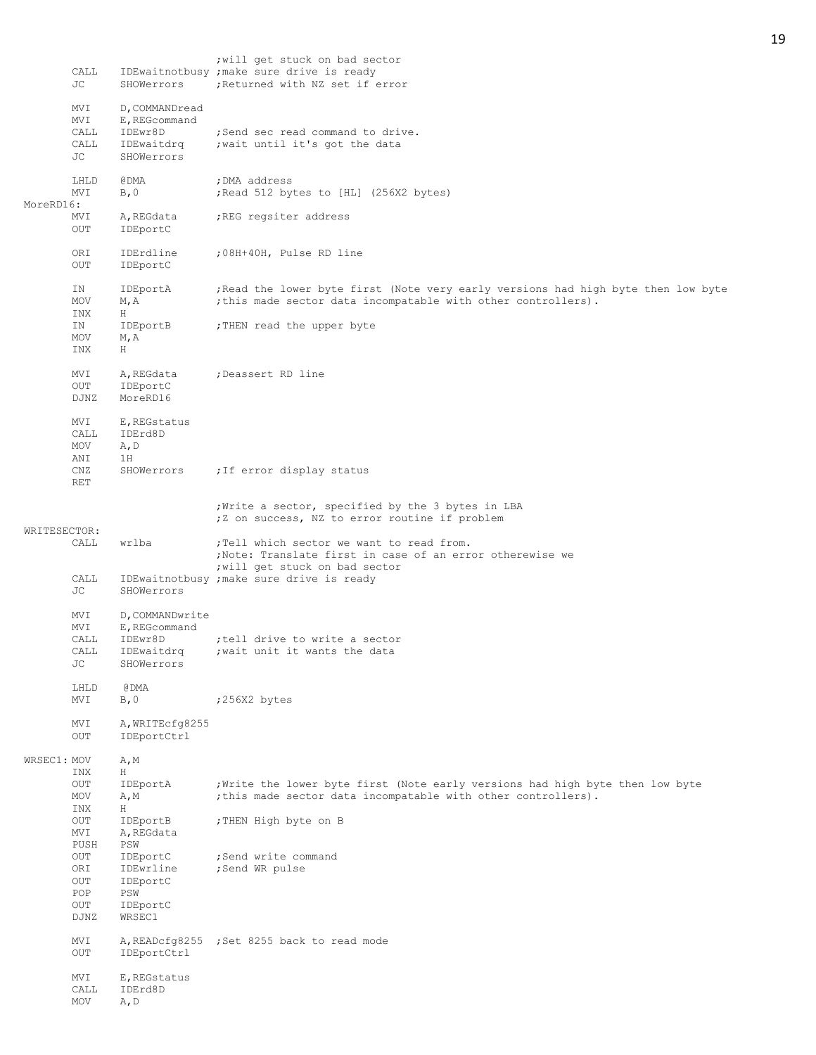|              | CALL<br>JС                       | SHOWerrors                                                             | ; will get stuck on bad sector<br>IDEwaitnotbusy ; make sure drive is ready<br>; Returned with NZ set if error                                     |
|--------------|----------------------------------|------------------------------------------------------------------------|----------------------------------------------------------------------------------------------------------------------------------------------------|
|              | MVI<br>MVI<br>CALL<br>CALL<br>JС | D, COMMANDread<br>E, REGcommand<br>IDEwr8D<br>IDEwaitdrq<br>SHOWerrors | ; Send sec read command to drive.<br>; wait until it's got the data                                                                                |
| MoreRD16:    | LHLD<br>MVI                      | @DMA<br>B, 0                                                           | ; DMA address<br>; Read 512 bytes to [HL] (256X2 bytes)                                                                                            |
|              | MVI<br>OUT                       | A, REGdata<br>IDEportC                                                 | ; REG regsiter address                                                                                                                             |
|              | ORI<br>OUT                       | IDErdline<br>IDEportC                                                  | ;08H+40H, Pulse RD line                                                                                                                            |
|              | ΙN<br>MOV<br>INX                 | IDEportA<br>M, A<br>Н                                                  | ; Read the lower byte first (Note very early versions had high byte then low byte<br>; this made sector data incompatable with other controllers). |
|              | ΙN<br>MOV<br>INX                 | IDEportB<br>M, A<br>H                                                  | ; THEN read the upper byte                                                                                                                         |
|              | MVI<br>OUT<br>DJNZ               | A, REGdata<br>IDEportC<br>MoreRD16                                     | ; Deassert RD line                                                                                                                                 |
|              | MVI<br>CALL<br>MOV               | E, REGstatus<br>IDErd8D<br>A, D                                        |                                                                                                                                                    |
|              | ANI<br>CNZ<br><b>RET</b>         | 1H<br>SHOWerrors                                                       | ; If error display status                                                                                                                          |
| WRITESECTOR: |                                  |                                                                        | ; Write a sector, specified by the 3 bytes in LBA<br>;Z on success, NZ to error routine if problem                                                 |
|              | CALL                             | wrlba                                                                  | ; Tell which sector we want to read from.<br>; Note: Translate first in case of an error otherewise we<br>; will get stuck on bad sector           |
|              | CALL<br>JC                       | SHOWerrors                                                             | IDEwaitnotbusy ; make sure drive is ready                                                                                                          |
|              | MVI<br>MVI<br>CALL               | D, COMMANDwrite<br>E, REGcommand<br>IDEwr8D                            | tell drive to write a sector,                                                                                                                      |
|              | CALL<br>JС                       | IDEwaitdrq<br>SHOWerrors                                               | wait unit it wants the data                                                                                                                        |
|              | LHLD<br>MVI                      | @ DMA<br>B, 0                                                          | ;256X2 bytes                                                                                                                                       |
|              | MVI<br>OUT                       | A, WRITECfq8255<br>IDEportCtrl                                         |                                                                                                                                                    |
| WRSEC1: MOV  | INX                              | A, M<br>Η                                                              |                                                                                                                                                    |
|              | $_{\rm OUT}$<br>MOV<br>INX       | IDEportA<br>A, M<br>Н                                                  | ; Write the lower byte first (Note early versions had high byte then low byte<br>; this made sector data incompatable with other controllers).     |
|              | OUT<br>MVI<br>PUSH               | IDEportB<br>A, REGdata<br>PSW                                          | ; THEN High byte on B                                                                                                                              |
|              | OUT<br>ORI<br>OUT<br>POP         | IDEportC<br>IDEwrline<br>IDEportC<br>PSW                               | ;Send write command<br>;Send WR pulse                                                                                                              |
|              | OUT<br>DJNZ                      | IDEportC<br>WRSEC1                                                     |                                                                                                                                                    |
|              | MVI<br>OUT                       | IDEportCtrl                                                            | A, READcfg8255 ; Set 8255 back to read mode                                                                                                        |
|              | MVI<br>CALL<br>MOV               | E, REGstatus<br>IDErd8D<br>A, D                                        |                                                                                                                                                    |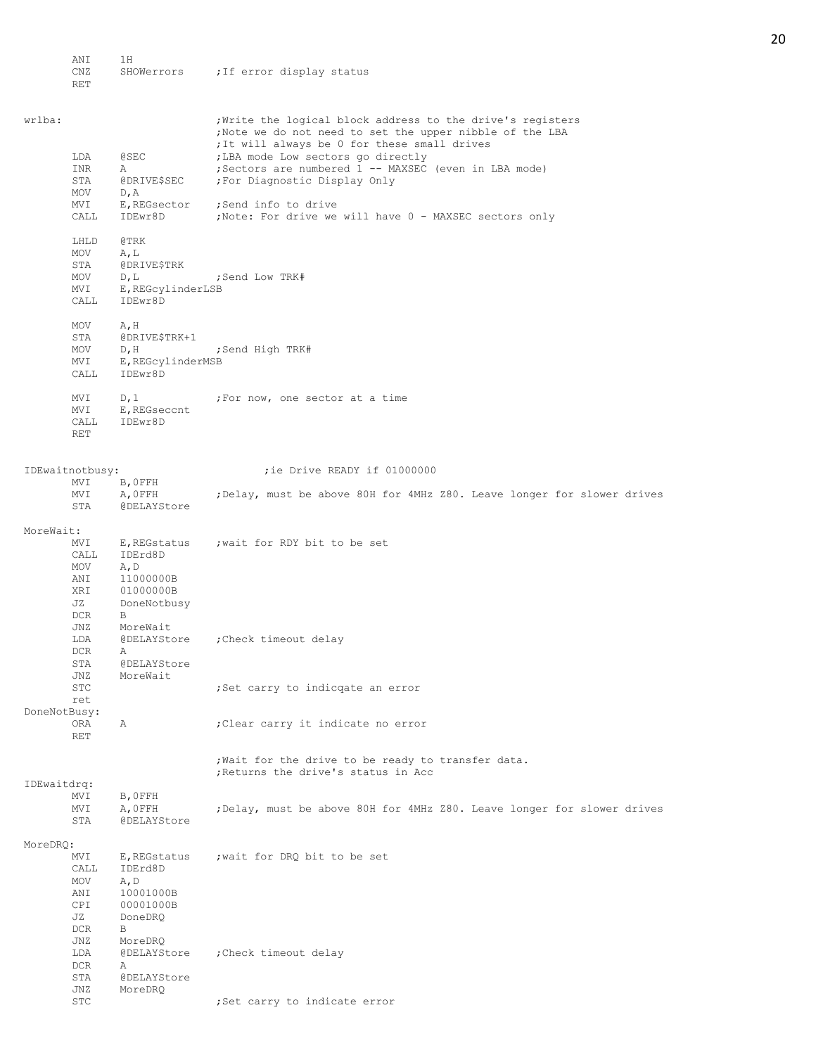ANI 1H<br>CNZ SHOWerrors ; If error display status RET wrlba: ; ;Write the logical block address to the drive's registers ;Note we do not need to set the upper nibble of the LBA ;It will always be 0 for these small drives LDA @SEC ;LBA mode Low sectors go directly INR A ; Sectors are numbered 1 -- MAXSEC (even in LBA mode) STA @DRIVE\$SEC ; For Diagnostic Display Only MOV D, A<br>MVI E, REGsector ;Send info to drive CALL IDEwr8D ;Note: For drive we will have 0 - MAXSEC sectors only LHLD @TRK MOV A,L STA @DRIVE\$TRK MOV D, L ; Send Low TRK# MVI E,REGcylinderLSB CALL IDEwr8D MOV A, H STA @DRIVE\$TRK+1 MOV D, H ; Send High TRK# MVI E, REGcylinderMSB<br>CALL IDEwr8D .<br>IDEwr8D MVI D, 1 ;For now, one sector at a time MVI E,REGseccnt CALL IDEwr8D RET IDEwaitnotbusy:  $\qquad \qquad$  ;ie Drive READY if 01000000 MVI B, OFFH<br>MVI A, OFFH MVI A, OFFH ; Delay, must be above 80H for 4MHz 280. Leave longer for slower drives<br>STA @DELAYStore @DELAYStore MoreWait: MVI E, REGstatus ; wait for RDY bit to be set CALL IDErd8D MOV A,D ANI 11000000B XRI 01000000B JZ DoneNotbusy DCR B JNZ MoreWait LDA @DELAYStore ;Check timeout delay DCR A STA @DELAYStore<br>JNZ MoreWait MoreWait STC ;Set carry to indicqate an error ret DoneNotBusy: ORA A ;Clear carry it indicate no error RET ;Wait for the drive to be ready to transfer data. ;Returns the drive's status in Acc IDEwaitdrq: MVI B,0FFH MVI A, OFFH ;Delay, must be above 80H for 4MHz Z80. Leave longer for slower drives<br>STA @DELAYStore @DELAYStore MoreDRQ: MVI E, REGstatus ; wait for DRQ bit to be set CALL IDErd8D MOV A,D ANI 10001000B CPI 00001000B JZ DoneDRQ  $DCR$ JNZ MoreDRQ<br>LDA @DELAYStore ; Check timeout delay DCR A STA @DELAYStore JNZ MoreDRQ

STC ; Set carry to indicate error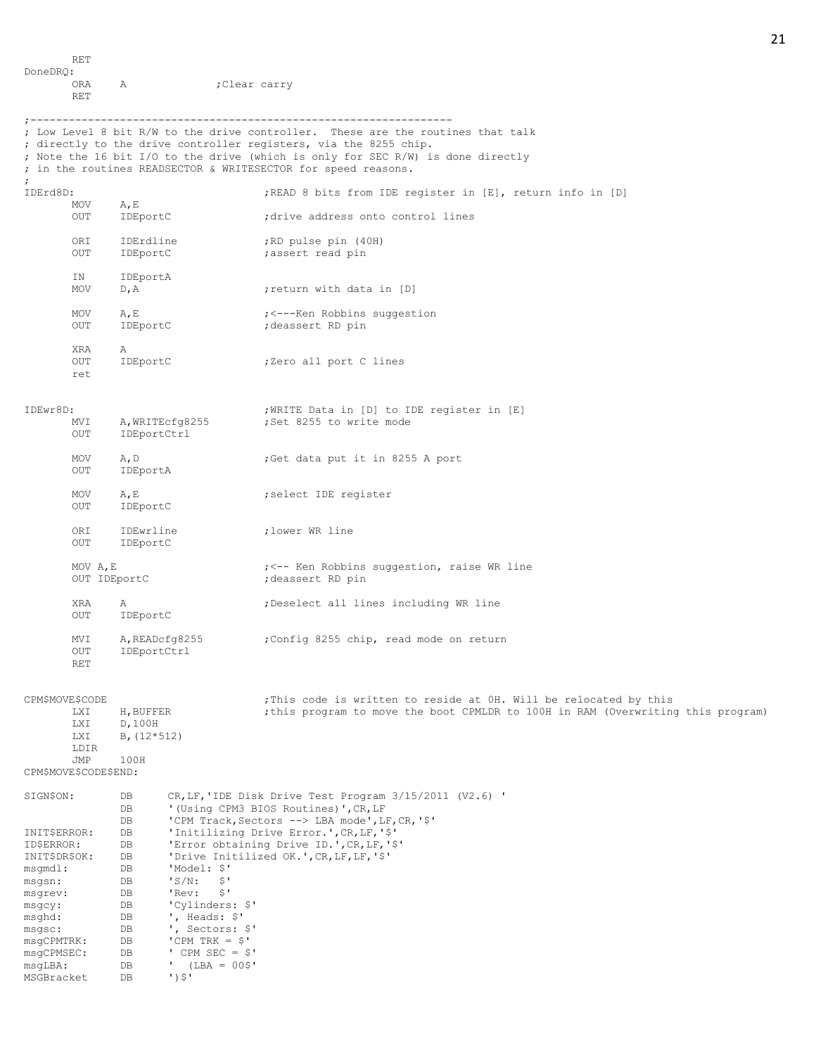RET DoneDRQ: ORA A ;Clear carry RET

;

msgCPMSEC: DB

MSGBracket DB ')\$'

msgLBA: DB ' (LBA = 00\$'

;------------------------------------------------------------------ ; Low Level 8 bit R/W to the drive controller. These are the routines that talk ; directly to the drive controller registers, via the 8255 chip. ; Note the 16 bit I/O to the drive (which is only for SEC R/W) is done directly ; in the routines READSECTOR & WRITESECTOR for speed reasons. IDErd8D:  $IDEr$ d8D:  $IDEr$ d8D:  $IDEr$  and  $IDEr$  and  $IDEr$  and  $IDEr$  and  $IDEr$  and  $IDEr$  and  $IDEr$  and  $IDEr$  and  $IDEr$  and  $IDEr$  and  $IDEr$  and  $IDEr$  and  $IDEr$  and  $IDEr$  and  $IDEr$  and  $IDEr$  and  $IDEr$  and  $IDEr$  and  $IDEr$  and  $IDE$ A, E<br>IDEportC OUT IDEportC ;drive address onto control lines ORI IDErdline ;RD pulse pin (40H) OUT IDEportC ; assert read pin IN IDEportA MOV D, A ; return with data in [D] MOV A, E  $\qquad \qquad i \leq -\text{Ken}$  Robbins suggestion OUT IDEportC ;deassert RD pin XRA A OUT IDEportC ;Zero all port C lines ret IDEwr8D: ;WRITE Data in [D] to IDE register in [E] MVI A, WRITEcfg8255 ;Set 8255 to write mode OUT IDEportCtrl MOV A, D ;Get data put it in 8255 A port OUT IDEportA MOV A, E ; select IDE register<br>OUT IDEportC IDEportC ORI IDEwrline ;lower WR line IDEportC MOV A, E is a set of the second term of the Robbins suggestion, raise WR line OUT IDEportC ;deassert RD pin XRA A ;Deselect all lines including WR line OUT IDEportC MVI A, READcfg8255 ;Config 8255 chip, read mode on return<br>OUT IDEportCtrl IDEportCtrl RET CPM\$MOVE\$CODE : This code is written to reside at 0H. Will be relocated by this LXI H, BUFFER ;this program to move the boot CPMLDR to 100H in RAM (Overwriting this program) LXI D,100H LXI B,(12\*512) LDIR JMP 100H CPM\$MOVE\$CODE\$END: SIGN\$ON: DB CR,LF,'IDE Disk Drive Test Program 3/15/2011 (V2.6) ' DB '(Using CPM3 BIOS Routines)', CR, LF<br>DB 'CPM Track, Sectors --> LBA mode', L 'CPM Track, Sectors --> LBA mode', LF, CR, '\$' INIT\$ERROR: DB 'Initilizing Drive Error.',CR,LF,'\$' ID\$ERROR: DB 'Error obtaining Drive ID.',CR,LF,'\$' INIT\$DR\$OK: DB 'Drive Initilized OK.',CR,LF,LF,'\$' msgmdl: DB 'Model: \$' msgsn: DB 'S/N: \$' msgrev: DB 'Rev: \$' msgcy: DB 'Cylinders: \$' msghd: DB ', Heads: \$'<br>msgsc: DB ', Sectors: msgsc: DB ', Sectors: \$'<br>msgCPMTRK: DB 'CPM TRK = \$' 'CPM TRK =  $$'$ <br>' CPM SEC =  $$'$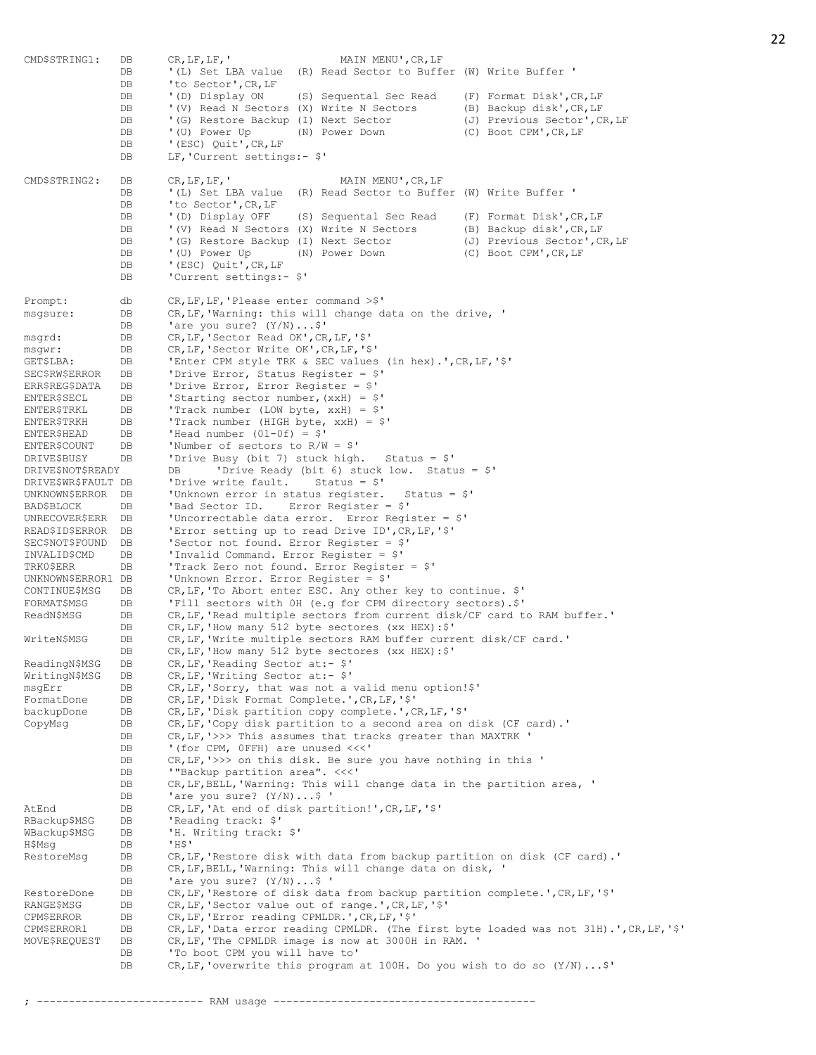CMD\$STRING1: DB CR, LF, LF, ' MAIN MENU', CR, LF<br>DB '(L) Set LBA value (R) Read Sector to Buffe '(L) Set LBA value (R) Read Sector to Buffer (W) Write Buffer ' DB 'to Sector', CR, LF DB '(D) Display ON (S) Sequental Sec Read (F) Format Disk', CR, LF DB '(V) Read N Sectors (X) Write N Sectors (B) Backup disk',CR,LF DB '(G) Restore Backup (I) Next Sector (J) Previous Sector', CR, LF DB '(U) Power Up (N) Power Down (C) Boot CPM', CR, LF DB '(U) Power Up<br>DB '(ESC) Quit', CR, LF DB LF, 'Current settings:- \$' CMD\$STRING2: DB CR,LF,LF,' MAIN MENU', CR, LF<br>DB '(L) Set LBA value (R) Read Sector to Buffe DB '(L) Set LBA value (R) Read Sector to Buffer (W) Write Buffer '<br>DB 'to Sector'.CR.LF 'to Sector', CR, LF DB '(D) Display OFF (S) Sequental Sec Read (F) Format Disk', CR, LF DB '(V) Read N Sectors (X) Write N Sectors (B) Backup disk', CR, LF DB '(G) Restore Backup (I) Next Sector (J) Previous Sector', CR, LF DB '(U) Power Up (N) Power Down (C) Boot CPM',CR,LF DB '(ESC) Quit', CR, LF DB 'Current settings:-  $$'$ Prompt: db CR, LF, LF, 'Please enter command >\$' msgsure: DB CR, LF, 'Warning: this will change data on the drive, ' DB 'are you sure?  $(Y/N) \ldots$ \$' msgrd: DB CR,LF,'Sector Read OK',CR,LF,'\$' msgwr: DB CR,LF,'Sector Write OK',CR,LF,'\$' GET\$LBA: DB 'Enter CPM style TRK & SEC values (in hex).',CR,LF,'\$' SEC\$RW\$ERROR DB 'Drive Error, Status Register = \$' ERR\$REG\$DATA DB 'Drive Error, Error Register = \$' ENTER\$SECL DB 'Starting sector number,(xxH) = \$' ENTER\$TRKL DB 'Track number (LOW byte, xxH) = \$' ENTER\$TRKH DB 'Track number (HIGH byte, xxH) = \$'  $ENTER$HEAD$  DB 'Head number (01-0f) =  $$'$ ENTER\$COUNT DB 'Number of sectors to R/W = \$' DRIVE\$BUSY DB 'Drive Busy (bit 7) stuck high. Status = \$' DRIVE\$NOT\$READY DB 'Drive Ready (bit 6) stuck low. Status = \$' DRIVE\$WR\$FAULT DB 'Drive write fault. Status = \$' UNKNOWN\$ERROR DB 'Unknown error in status register. Status = \$' BAD\$BLOCK DB 'Bad Sector ID. Error Register = \$' UNRECOVER\$ERR DB 'Uncorrectable data error. Error Register = \$' READ\$ID\$ERROR DB 'Error setting up to read Drive ID',CR,LF,'\$' SEC\$NOT\$FOUND DB 'Sector not found. Error Register = \$' INVALID\$CMD DB 'Invalid Command. Error Register = \$' TRK0\$ERR DB 'Track Zero not found. Error Register = \$' UNKNOWN\$ERROR1 DB 'Unknown Error. Error Register = \$' CONTINUE\$MSG DB CR,LF,'To Abort enter ESC. Any other key to continue. \$' FORMAT\$MSG DB 'Fill sectors with 0H (e.g for CPM directory sectors).\$' ReadN\$MSG DB CR, LF, 'Read multiple sectors from current disk/CF card to RAM buffer.' DB CR, LF, 'How many 512 byte sectores (xx HEX): \$' WriteN\$MSG DB CR, LF, 'Write multiple sectors RAM buffer current disk/CF card.' DB CR, LF, 'How many 512 byte sectores (xx HEX): \$' ReadingN\$MSG DB CR, LF, 'Reading Sector at:- \$' WritingN\$MSG DB CR,LF,'Writing Sector at:- \$' msgErr DB CR,LF,'Sorry, that was not a valid menu option!\$' FormatDone DB CR,LF,'Disk Format Complete.',CR,LF,'\$' backupDone DB CR,LF,'Disk partition copy complete.',CR,LF,'\$' CopyMsg DB CR,LF,'Copy disk partition to a second area on disk (CF card).' DB CR, LF, '>>> This assumes that tracks greater than MAXTRK '<br>DB '(for CPM, OFFH) are unused <<<' '(for CPM, OFFH) are unused <<<' DB CR, LF, '>>> on this disk. Be sure you have nothing in this '<br>DB '"Backup partition area". <<<' DB '"Backup partition area". <<<'<br>DB CR, LF, BELL, 'Warning: This will DB CR, LF, BELL, 'Warning: This will change data in the partition area, '<br>DB 'are you sure? (Y/N)...\$ '<br>DB CR, LF, 'At end of disk partition!', CR, LF, '\$' 'are you sure?  $(Y/N)$ ...\$ ' AtEnd DB CR, LF, 'At end of disk partition!', CR, LF, '\$'<br>RBackup\$MSG DB 'Reading track: \$' RBackup\$MSG DB WBackup\$MSG DB 'H. Writing track: \$' H\$Msg DB 'H\$'<br>RestoreMsg DB CR, I RestoreMsg DB CR,LF,'Restore disk with data from backup partition on disk (CF card).' DB CR, LF, BELL, 'Warning: This will change data on disk, ' DB 'are you sure? (Y/N)...\$<br>DB 'are you sure? (Y/N)...\$ '<br>DB CR, LF, 'Restore of disk data from backup part<br>DB CR, LF, 'Sector value out of range.', CR, LF, '\$' RestoreDone DB CR,LF,'Restore of disk data from backup partition complete.',CR,LF,'\$' RANGE\$MSG DB CR,LF,'Sector value out of range.',CR,LF,'\$' CPM\$ERROR DB CR,LF,'Error reading CPMLDR.',CR,LF,'\$' CPM\$ERROR1 DB CR,LF,'Data error reading CPMLDR. (The first byte loaded was not 31H).',CR,LF,'\$' MOVE\$REQUEST DB CR,LF,'The CPMLDR image is now at 3000H in RAM. ' DB 'To boot CPM you will have to' DB CR,LF,'overwrite this program at 100H. Do you wish to do so (Y/N)...\$'